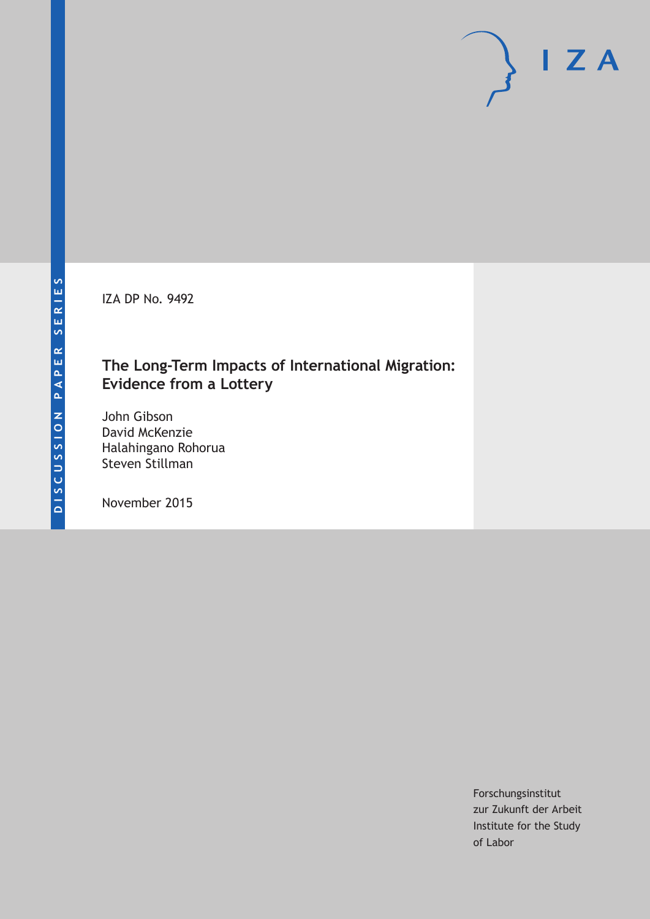IZA DP No. 9492

## **The Long-Term Impacts of International Migration: Evidence from a Lottery**

John Gibson David McKenzie Halahingano Rohorua Steven Stillman

November 2015

Forschungsinstitut zur Zukunft der Arbeit Institute for the Study of Labor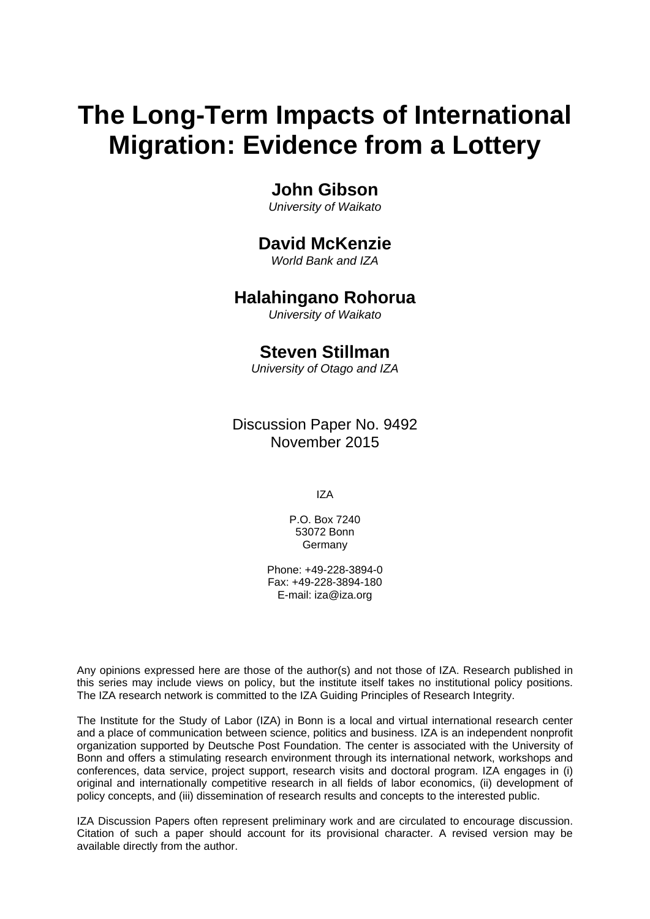# **The Long-Term Impacts of International Migration: Evidence from a Lottery**

### **John Gibson**

*University of Waikato* 

### **David McKenzie**

*World Bank and IZA* 

### **Halahingano Rohorua**

*University of Waikato*

### **Steven Stillman**

*University of Otago and IZA*

Discussion Paper No. 9492 November 2015

IZA

P.O. Box 7240 53072 Bonn Germany

Phone: +49-228-3894-0 Fax: +49-228-3894-180 E-mail: iza@iza.org

Any opinions expressed here are those of the author(s) and not those of IZA. Research published in this series may include views on policy, but the institute itself takes no institutional policy positions. The IZA research network is committed to the IZA Guiding Principles of Research Integrity.

The Institute for the Study of Labor (IZA) in Bonn is a local and virtual international research center and a place of communication between science, politics and business. IZA is an independent nonprofit organization supported by Deutsche Post Foundation. The center is associated with the University of Bonn and offers a stimulating research environment through its international network, workshops and conferences, data service, project support, research visits and doctoral program. IZA engages in (i) original and internationally competitive research in all fields of labor economics, (ii) development of policy concepts, and (iii) dissemination of research results and concepts to the interested public.

IZA Discussion Papers often represent preliminary work and are circulated to encourage discussion. Citation of such a paper should account for its provisional character. A revised version may be available directly from the author.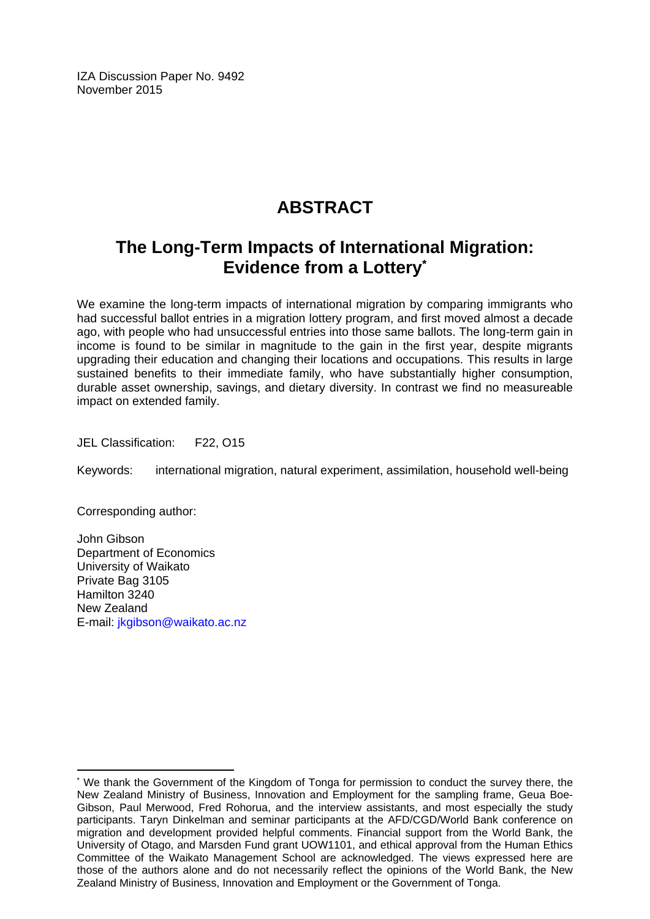IZA Discussion Paper No. 9492 November 2015

# **ABSTRACT**

# **The Long-Term Impacts of International Migration: Evidence from a Lottery\***

We examine the long-term impacts of international migration by comparing immigrants who had successful ballot entries in a migration lottery program, and first moved almost a decade ago, with people who had unsuccessful entries into those same ballots. The long-term gain in income is found to be similar in magnitude to the gain in the first year, despite migrants upgrading their education and changing their locations and occupations. This results in large sustained benefits to their immediate family, who have substantially higher consumption, durable asset ownership, savings, and dietary diversity. In contrast we find no measureable impact on extended family.

JEL Classification: F22, O15

Keywords: international migration, natural experiment, assimilation, household well-being

Corresponding author:

 $\overline{\phantom{a}}$ 

John Gibson Department of Economics University of Waikato Private Bag 3105 Hamilton 3240 New Zealand E-mail: jkgibson@waikato.ac.nz

<sup>\*</sup> We thank the Government of the Kingdom of Tonga for permission to conduct the survey there, the New Zealand Ministry of Business, Innovation and Employment for the sampling frame, Geua Boe-Gibson, Paul Merwood, Fred Rohorua, and the interview assistants, and most especially the study participants. Taryn Dinkelman and seminar participants at the AFD/CGD/World Bank conference on migration and development provided helpful comments. Financial support from the World Bank, the University of Otago, and Marsden Fund grant UOW1101, and ethical approval from the Human Ethics Committee of the Waikato Management School are acknowledged. The views expressed here are those of the authors alone and do not necessarily reflect the opinions of the World Bank, the New Zealand Ministry of Business, Innovation and Employment or the Government of Tonga.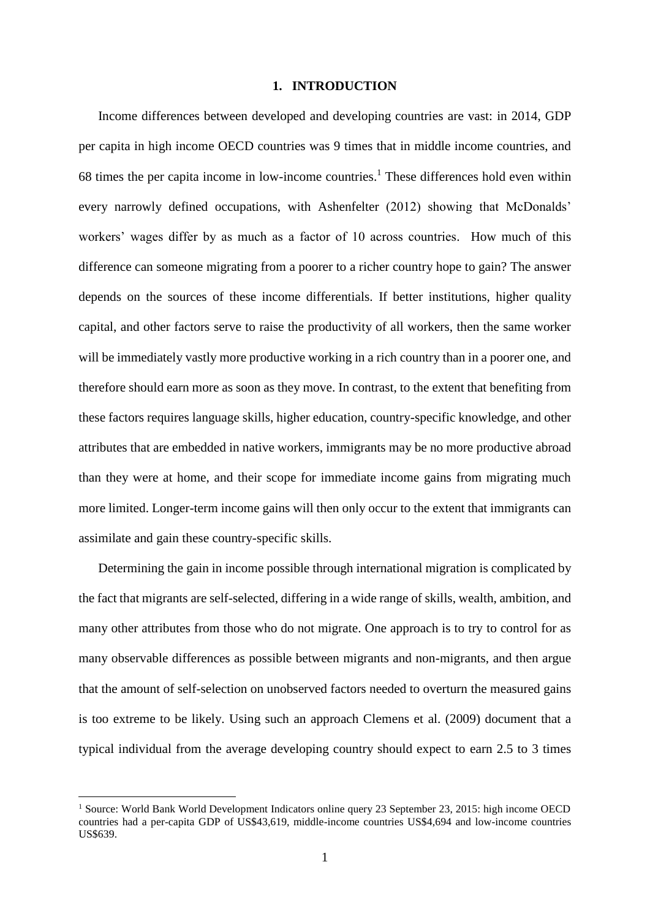#### **1. INTRODUCTION**

Income differences between developed and developing countries are vast: in 2014, GDP per capita in high income OECD countries was 9 times that in middle income countries, and 68 times the per capita income in low-income countries. <sup>1</sup> These differences hold even within every narrowly defined occupations, with Ashenfelter (2012) showing that McDonalds' workers' wages differ by as much as a factor of 10 across countries. How much of this difference can someone migrating from a poorer to a richer country hope to gain? The answer depends on the sources of these income differentials. If better institutions, higher quality capital, and other factors serve to raise the productivity of all workers, then the same worker will be immediately vastly more productive working in a rich country than in a poorer one, and therefore should earn more as soon as they move. In contrast, to the extent that benefiting from these factors requires language skills, higher education, country-specific knowledge, and other attributes that are embedded in native workers, immigrants may be no more productive abroad than they were at home, and their scope for immediate income gains from migrating much more limited. Longer-term income gains will then only occur to the extent that immigrants can assimilate and gain these country-specific skills.

Determining the gain in income possible through international migration is complicated by the fact that migrants are self-selected, differing in a wide range of skills, wealth, ambition, and many other attributes from those who do not migrate. One approach is to try to control for as many observable differences as possible between migrants and non-migrants, and then argue that the amount of self-selection on unobserved factors needed to overturn the measured gains is too extreme to be likely. Using such an approach Clemens et al. (2009) document that a typical individual from the average developing country should expect to earn 2.5 to 3 times

<sup>1</sup> Source: World Bank World Development Indicators online query 23 September 23, 2015: high income OECD countries had a per-capita GDP of US\$43,619, middle-income countries US\$4,694 and low-income countries US\$639.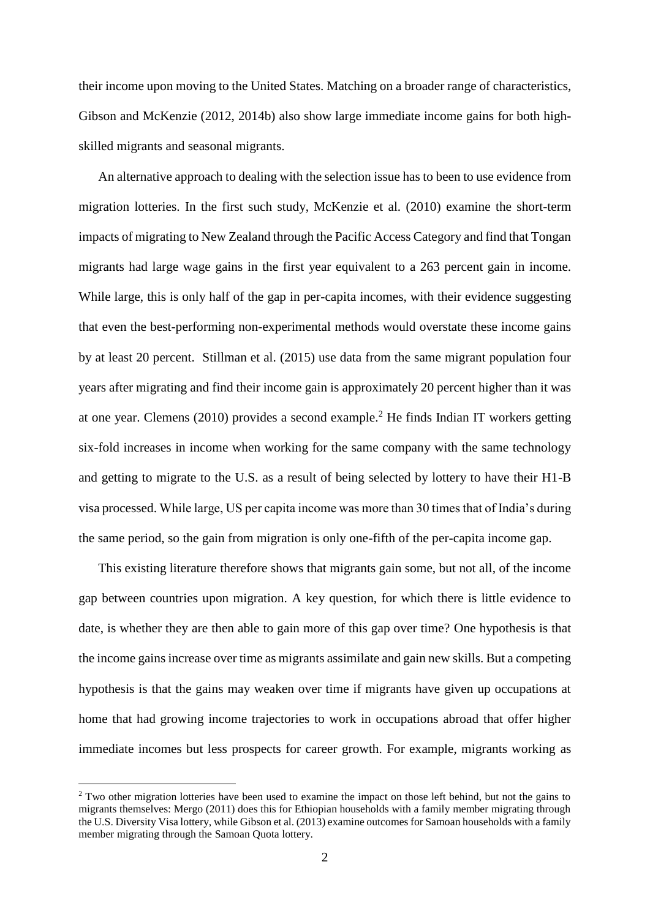their income upon moving to the United States. Matching on a broader range of characteristics, Gibson and McKenzie (2012, 2014b) also show large immediate income gains for both highskilled migrants and seasonal migrants.

An alternative approach to dealing with the selection issue has to been to use evidence from migration lotteries. In the first such study, McKenzie et al. (2010) examine the short-term impacts of migrating to New Zealand through the Pacific Access Category and find that Tongan migrants had large wage gains in the first year equivalent to a 263 percent gain in income. While large, this is only half of the gap in per-capita incomes, with their evidence suggesting that even the best-performing non-experimental methods would overstate these income gains by at least 20 percent. Stillman et al. (2015) use data from the same migrant population four years after migrating and find their income gain is approximately 20 percent higher than it was at one year. Clemens (2010) provides a second example.<sup>2</sup> He finds Indian IT workers getting six-fold increases in income when working for the same company with the same technology and getting to migrate to the U.S. as a result of being selected by lottery to have their H1-B visa processed. While large, US per capita income was more than 30 times that of India's during the same period, so the gain from migration is only one-fifth of the per-capita income gap.

This existing literature therefore shows that migrants gain some, but not all, of the income gap between countries upon migration. A key question, for which there is little evidence to date, is whether they are then able to gain more of this gap over time? One hypothesis is that the income gains increase over time as migrants assimilate and gain new skills. But a competing hypothesis is that the gains may weaken over time if migrants have given up occupations at home that had growing income trajectories to work in occupations abroad that offer higher immediate incomes but less prospects for career growth. For example, migrants working as

<sup>&</sup>lt;sup>2</sup> Two other migration lotteries have been used to examine the impact on those left behind, but not the gains to migrants themselves: Mergo (2011) does this for Ethiopian households with a family member migrating through the U.S. Diversity Visa lottery, while Gibson et al. (2013) examine outcomes for Samoan households with a family member migrating through the Samoan Quota lottery.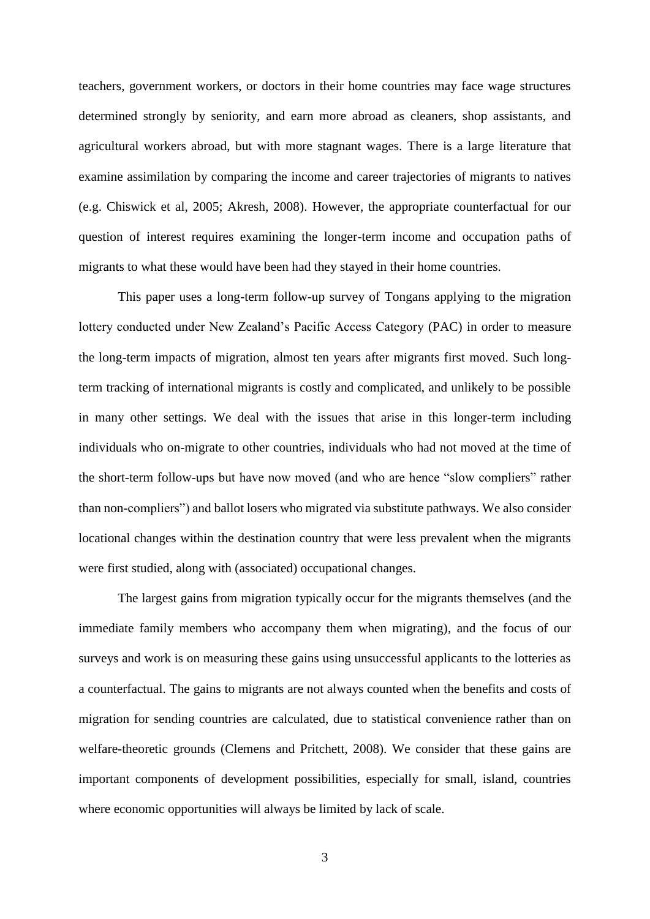teachers, government workers, or doctors in their home countries may face wage structures determined strongly by seniority, and earn more abroad as cleaners, shop assistants, and agricultural workers abroad, but with more stagnant wages. There is a large literature that examine assimilation by comparing the income and career trajectories of migrants to natives (e.g. Chiswick et al, 2005; Akresh, 2008). However, the appropriate counterfactual for our question of interest requires examining the longer-term income and occupation paths of migrants to what these would have been had they stayed in their home countries.

This paper uses a long-term follow-up survey of Tongans applying to the migration lottery conducted under New Zealand's Pacific Access Category (PAC) in order to measure the long-term impacts of migration, almost ten years after migrants first moved. Such longterm tracking of international migrants is costly and complicated, and unlikely to be possible in many other settings. We deal with the issues that arise in this longer-term including individuals who on-migrate to other countries, individuals who had not moved at the time of the short-term follow-ups but have now moved (and who are hence "slow compliers" rather than non-compliers") and ballot losers who migrated via substitute pathways. We also consider locational changes within the destination country that were less prevalent when the migrants were first studied, along with (associated) occupational changes.

The largest gains from migration typically occur for the migrants themselves (and the immediate family members who accompany them when migrating), and the focus of our surveys and work is on measuring these gains using unsuccessful applicants to the lotteries as a counterfactual. The gains to migrants are not always counted when the benefits and costs of migration for sending countries are calculated, due to statistical convenience rather than on welfare-theoretic grounds (Clemens and Pritchett, 2008). We consider that these gains are important components of development possibilities, especially for small, island, countries where economic opportunities will always be limited by lack of scale.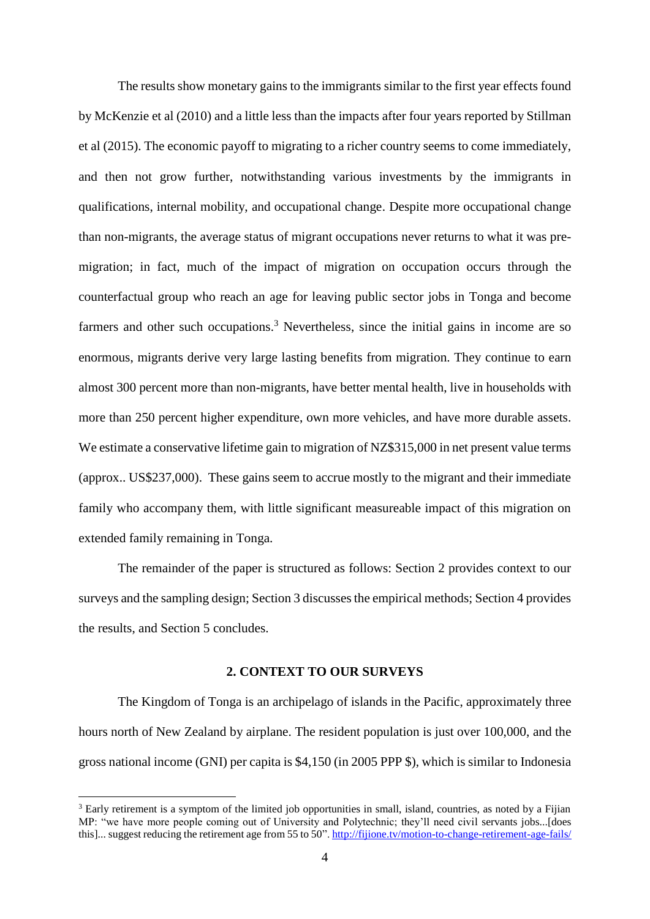The results show monetary gains to the immigrants similar to the first year effects found by McKenzie et al (2010) and a little less than the impacts after four years reported by Stillman et al (2015). The economic payoff to migrating to a richer country seems to come immediately, and then not grow further, notwithstanding various investments by the immigrants in qualifications, internal mobility, and occupational change. Despite more occupational change than non-migrants, the average status of migrant occupations never returns to what it was premigration; in fact, much of the impact of migration on occupation occurs through the counterfactual group who reach an age for leaving public sector jobs in Tonga and become farmers and other such occupations.<sup>3</sup> Nevertheless, since the initial gains in income are so enormous, migrants derive very large lasting benefits from migration. They continue to earn almost 300 percent more than non-migrants, have better mental health, live in households with more than 250 percent higher expenditure, own more vehicles, and have more durable assets. We estimate a conservative lifetime gain to migration of NZ\$315,000 in net present value terms (approx.. US\$237,000). These gains seem to accrue mostly to the migrant and their immediate family who accompany them, with little significant measureable impact of this migration on extended family remaining in Tonga.

The remainder of the paper is structured as follows: Section 2 provides context to our surveys and the sampling design; Section 3 discusses the empirical methods; Section 4 provides the results, and Section 5 concludes.

#### **2. CONTEXT TO OUR SURVEYS**

The Kingdom of Tonga is an archipelago of islands in the Pacific, approximately three hours north of New Zealand by airplane. The resident population is just over 100,000, and the gross national income (GNI) per capita is \$4,150 (in 2005 PPP \$), which is similar to Indonesia

<sup>&</sup>lt;sup>3</sup> Early retirement is a symptom of the limited job opportunities in small, island, countries, as noted by a Fijian MP: "we have more people coming out of University and Polytechnic; they'll need civil servants jobs...[does this]... suggest reducing the retirement age from 55 to 50"[. http://fijione.tv/motion-to-change-retirement-age-fails/](http://fijione.tv/motion-to-change-retirement-age-fails/)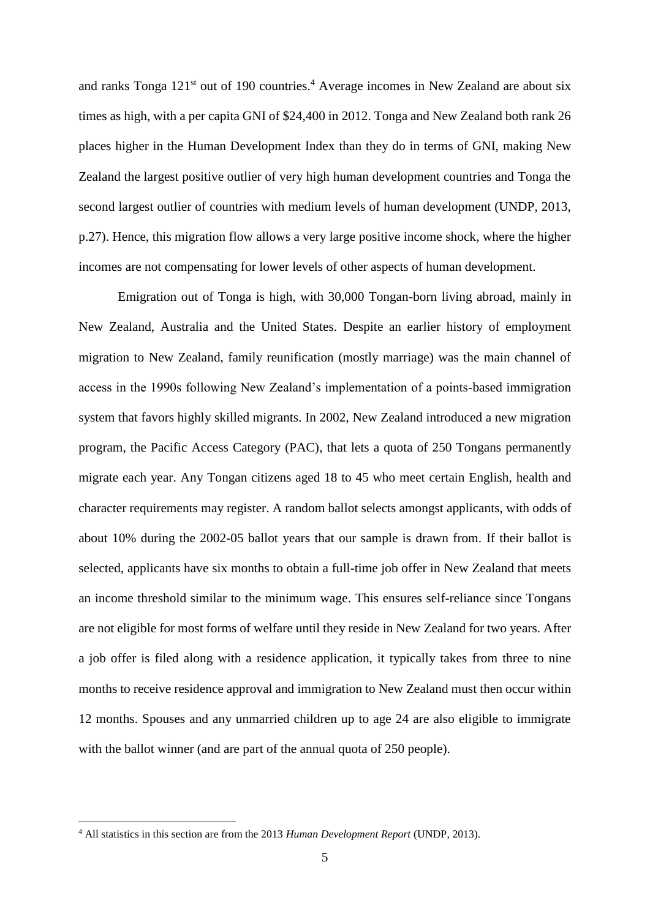and ranks Tonga  $121<sup>st</sup>$  out of 190 countries.<sup>4</sup> Average incomes in New Zealand are about six times as high, with a per capita GNI of \$24,400 in 2012. Tonga and New Zealand both rank 26 places higher in the Human Development Index than they do in terms of GNI, making New Zealand the largest positive outlier of very high human development countries and Tonga the second largest outlier of countries with medium levels of human development (UNDP, 2013, p.27). Hence, this migration flow allows a very large positive income shock, where the higher incomes are not compensating for lower levels of other aspects of human development.

Emigration out of Tonga is high, with 30,000 Tongan-born living abroad, mainly in New Zealand, Australia and the United States. Despite an earlier history of employment migration to New Zealand, family reunification (mostly marriage) was the main channel of access in the 1990s following New Zealand's implementation of a points-based immigration system that favors highly skilled migrants. In 2002, New Zealand introduced a new migration program, the Pacific Access Category (PAC), that lets a quota of 250 Tongans permanently migrate each year. Any Tongan citizens aged 18 to 45 who meet certain English, health and character requirements may register. A random ballot selects amongst applicants, with odds of about 10% during the 2002-05 ballot years that our sample is drawn from. If their ballot is selected, applicants have six months to obtain a full-time job offer in New Zealand that meets an income threshold similar to the minimum wage. This ensures self-reliance since Tongans are not eligible for most forms of welfare until they reside in New Zealand for two years. After a job offer is filed along with a residence application, it typically takes from three to nine months to receive residence approval and immigration to New Zealand must then occur within 12 months. Spouses and any unmarried children up to age 24 are also eligible to immigrate with the ballot winner (and are part of the annual quota of 250 people).

<sup>4</sup> All statistics in this section are from the 2013 *Human Development Report* (UNDP, 2013).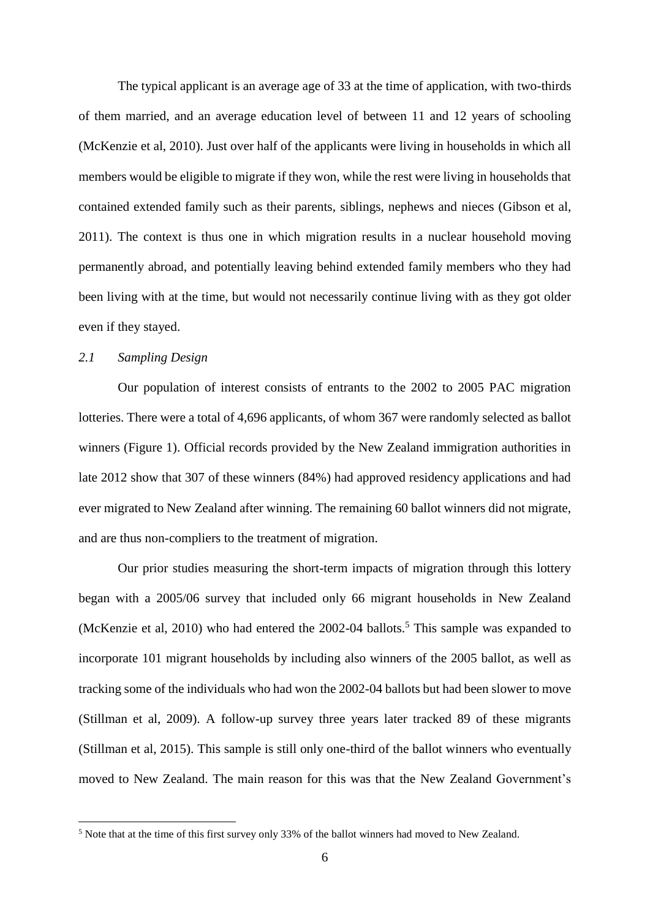The typical applicant is an average age of 33 at the time of application, with two-thirds of them married, and an average education level of between 11 and 12 years of schooling (McKenzie et al, 2010). Just over half of the applicants were living in households in which all members would be eligible to migrate if they won, while the rest were living in households that contained extended family such as their parents, siblings, nephews and nieces (Gibson et al, 2011). The context is thus one in which migration results in a nuclear household moving permanently abroad, and potentially leaving behind extended family members who they had been living with at the time, but would not necessarily continue living with as they got older even if they stayed.

#### *2.1 Sampling Design*

1

Our population of interest consists of entrants to the 2002 to 2005 PAC migration lotteries. There were a total of 4,696 applicants, of whom 367 were randomly selected as ballot winners (Figure 1). Official records provided by the New Zealand immigration authorities in late 2012 show that 307 of these winners (84%) had approved residency applications and had ever migrated to New Zealand after winning. The remaining 60 ballot winners did not migrate, and are thus non-compliers to the treatment of migration.

Our prior studies measuring the short-term impacts of migration through this lottery began with a 2005/06 survey that included only 66 migrant households in New Zealand (McKenzie et al, 2010) who had entered the  $2002-04$  ballots.<sup>5</sup> This sample was expanded to incorporate 101 migrant households by including also winners of the 2005 ballot, as well as tracking some of the individuals who had won the 2002-04 ballots but had been slower to move (Stillman et al, 2009). A follow-up survey three years later tracked 89 of these migrants (Stillman et al, 2015). This sample is still only one-third of the ballot winners who eventually moved to New Zealand. The main reason for this was that the New Zealand Government's

<sup>&</sup>lt;sup>5</sup> Note that at the time of this first survey only 33% of the ballot winners had moved to New Zealand.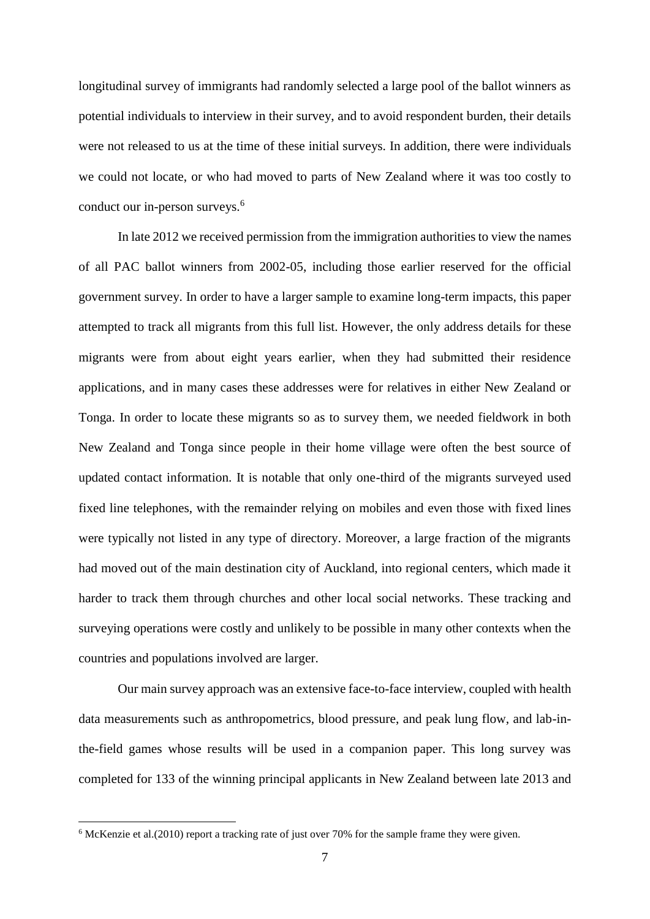longitudinal survey of immigrants had randomly selected a large pool of the ballot winners as potential individuals to interview in their survey, and to avoid respondent burden, their details were not released to us at the time of these initial surveys. In addition, there were individuals we could not locate, or who had moved to parts of New Zealand where it was too costly to conduct our in-person surveys.<sup>6</sup>

In late 2012 we received permission from the immigration authorities to view the names of all PAC ballot winners from 2002-05, including those earlier reserved for the official government survey. In order to have a larger sample to examine long-term impacts, this paper attempted to track all migrants from this full list. However, the only address details for these migrants were from about eight years earlier, when they had submitted their residence applications, and in many cases these addresses were for relatives in either New Zealand or Tonga. In order to locate these migrants so as to survey them, we needed fieldwork in both New Zealand and Tonga since people in their home village were often the best source of updated contact information. It is notable that only one-third of the migrants surveyed used fixed line telephones, with the remainder relying on mobiles and even those with fixed lines were typically not listed in any type of directory. Moreover, a large fraction of the migrants had moved out of the main destination city of Auckland, into regional centers, which made it harder to track them through churches and other local social networks. These tracking and surveying operations were costly and unlikely to be possible in many other contexts when the countries and populations involved are larger.

Our main survey approach was an extensive face-to-face interview, coupled with health data measurements such as anthropometrics, blood pressure, and peak lung flow, and lab-inthe-field games whose results will be used in a companion paper. This long survey was completed for 133 of the winning principal applicants in New Zealand between late 2013 and

<sup>6</sup> McKenzie et al.(2010) report a tracking rate of just over 70% for the sample frame they were given.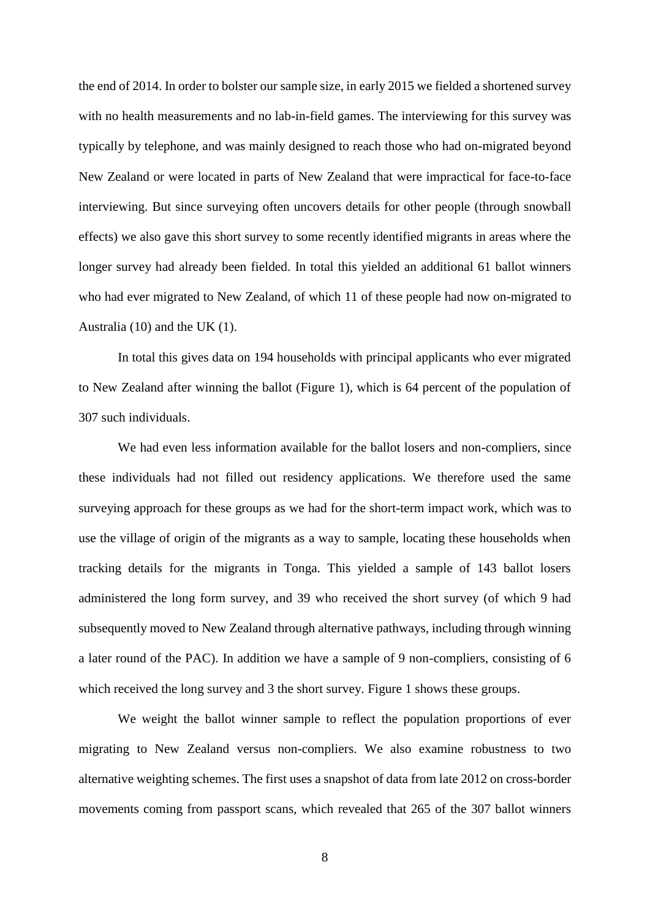the end of 2014. In order to bolster our sample size, in early 2015 we fielded a shortened survey with no health measurements and no lab-in-field games. The interviewing for this survey was typically by telephone, and was mainly designed to reach those who had on-migrated beyond New Zealand or were located in parts of New Zealand that were impractical for face-to-face interviewing. But since surveying often uncovers details for other people (through snowball effects) we also gave this short survey to some recently identified migrants in areas where the longer survey had already been fielded. In total this yielded an additional 61 ballot winners who had ever migrated to New Zealand, of which 11 of these people had now on-migrated to Australia (10) and the UK (1).

In total this gives data on 194 households with principal applicants who ever migrated to New Zealand after winning the ballot (Figure 1), which is 64 percent of the population of 307 such individuals.

We had even less information available for the ballot losers and non-compliers, since these individuals had not filled out residency applications. We therefore used the same surveying approach for these groups as we had for the short-term impact work, which was to use the village of origin of the migrants as a way to sample, locating these households when tracking details for the migrants in Tonga. This yielded a sample of 143 ballot losers administered the long form survey, and 39 who received the short survey (of which 9 had subsequently moved to New Zealand through alternative pathways, including through winning a later round of the PAC). In addition we have a sample of 9 non-compliers, consisting of 6 which received the long survey and 3 the short survey. Figure 1 shows these groups.

We weight the ballot winner sample to reflect the population proportions of ever migrating to New Zealand versus non-compliers. We also examine robustness to two alternative weighting schemes. The first uses a snapshot of data from late 2012 on cross-border movements coming from passport scans, which revealed that 265 of the 307 ballot winners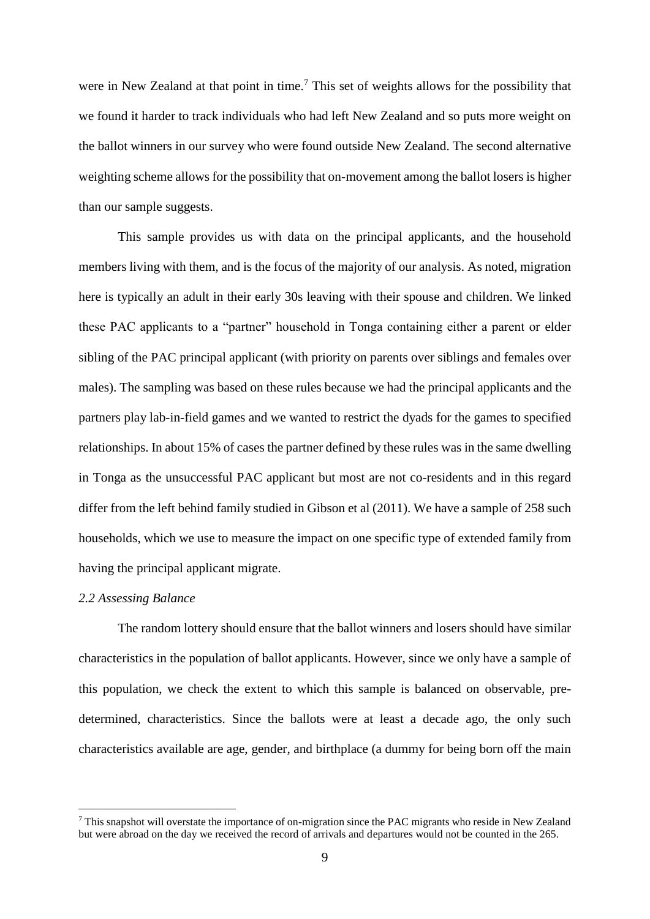were in New Zealand at that point in time.<sup>7</sup> This set of weights allows for the possibility that we found it harder to track individuals who had left New Zealand and so puts more weight on the ballot winners in our survey who were found outside New Zealand. The second alternative weighting scheme allows for the possibility that on-movement among the ballot losers is higher than our sample suggests.

This sample provides us with data on the principal applicants, and the household members living with them, and is the focus of the majority of our analysis. As noted, migration here is typically an adult in their early 30s leaving with their spouse and children. We linked these PAC applicants to a "partner" household in Tonga containing either a parent or elder sibling of the PAC principal applicant (with priority on parents over siblings and females over males). The sampling was based on these rules because we had the principal applicants and the partners play lab-in-field games and we wanted to restrict the dyads for the games to specified relationships. In about 15% of cases the partner defined by these rules was in the same dwelling in Tonga as the unsuccessful PAC applicant but most are not co-residents and in this regard differ from the left behind family studied in Gibson et al (2011). We have a sample of 258 such households, which we use to measure the impact on one specific type of extended family from having the principal applicant migrate.

#### *2.2 Assessing Balance*

1

The random lottery should ensure that the ballot winners and losers should have similar characteristics in the population of ballot applicants. However, since we only have a sample of this population, we check the extent to which this sample is balanced on observable, predetermined, characteristics. Since the ballots were at least a decade ago, the only such characteristics available are age, gender, and birthplace (a dummy for being born off the main

<sup>7</sup> This snapshot will overstate the importance of on-migration since the PAC migrants who reside in New Zealand but were abroad on the day we received the record of arrivals and departures would not be counted in the 265.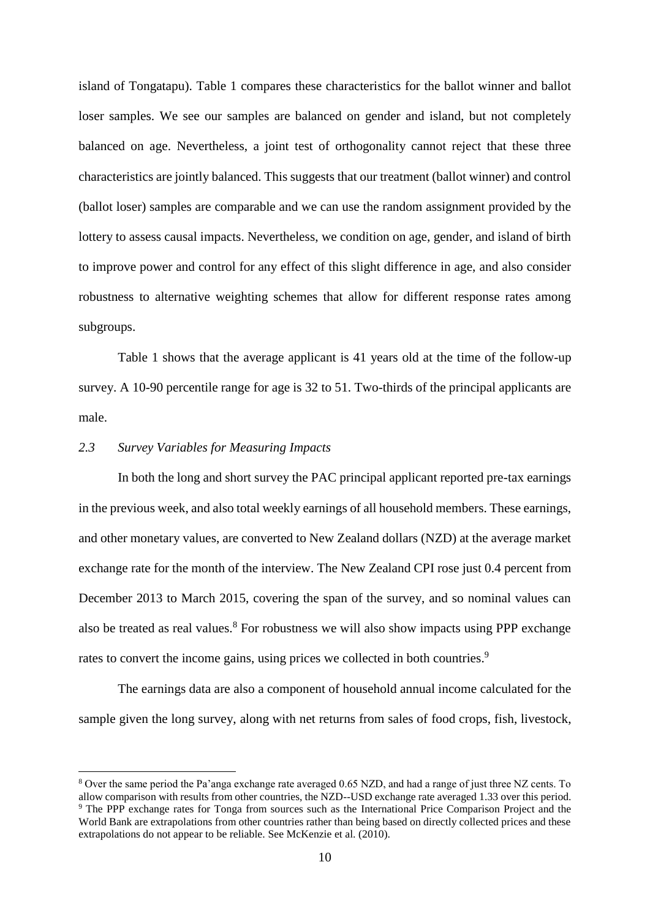island of Tongatapu). Table 1 compares these characteristics for the ballot winner and ballot loser samples. We see our samples are balanced on gender and island, but not completely balanced on age. Nevertheless, a joint test of orthogonality cannot reject that these three characteristics are jointly balanced. This suggests that our treatment (ballot winner) and control (ballot loser) samples are comparable and we can use the random assignment provided by the lottery to assess causal impacts. Nevertheless, we condition on age, gender, and island of birth to improve power and control for any effect of this slight difference in age, and also consider robustness to alternative weighting schemes that allow for different response rates among subgroups.

Table 1 shows that the average applicant is 41 years old at the time of the follow-up survey. A 10-90 percentile range for age is 32 to 51. Two-thirds of the principal applicants are male.

#### *2.3 Survey Variables for Measuring Impacts*

<u>.</u>

In both the long and short survey the PAC principal applicant reported pre-tax earnings in the previous week, and also total weekly earnings of all household members. These earnings, and other monetary values, are converted to New Zealand dollars (NZD) at the average market exchange rate for the month of the interview. The New Zealand CPI rose just 0.4 percent from December 2013 to March 2015, covering the span of the survey, and so nominal values can also be treated as real values.<sup>8</sup> For robustness we will also show impacts using PPP exchange rates to convert the income gains, using prices we collected in both countries.<sup>9</sup>

The earnings data are also a component of household annual income calculated for the sample given the long survey, along with net returns from sales of food crops, fish, livestock,

<sup>8</sup> Over the same period the Pa'anga exchange rate averaged 0.65 NZD, and had a range of just three NZ cents. To allow comparison with results from other countries, the NZD--USD exchange rate averaged 1.33 over this period. <sup>9</sup> The PPP exchange rates for Tonga from sources such as the International Price Comparison Project and the World Bank are extrapolations from other countries rather than being based on directly collected prices and these extrapolations do not appear to be reliable. See McKenzie et al. (2010).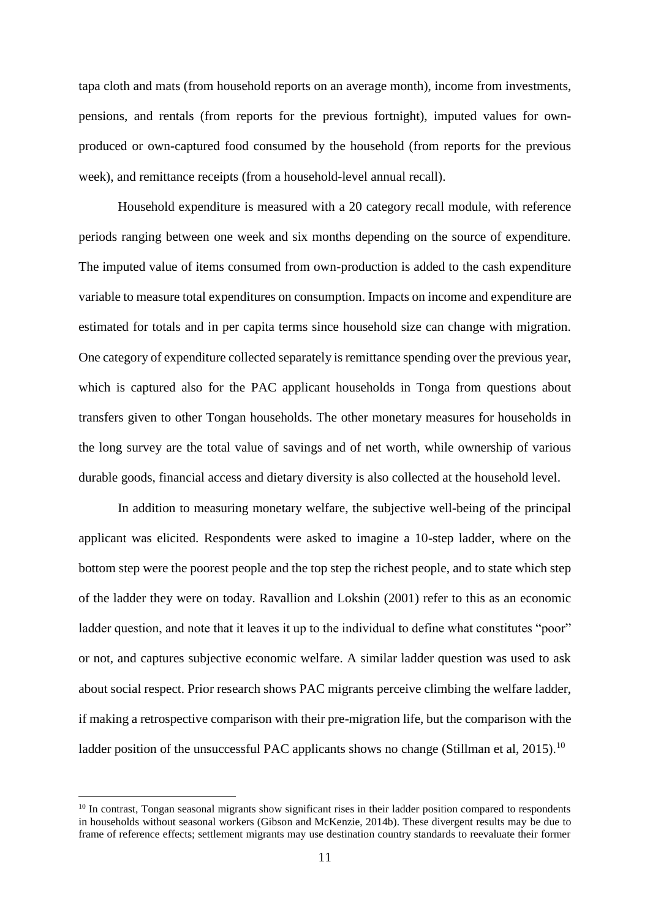tapa cloth and mats (from household reports on an average month), income from investments, pensions, and rentals (from reports for the previous fortnight), imputed values for ownproduced or own-captured food consumed by the household (from reports for the previous week), and remittance receipts (from a household-level annual recall).

Household expenditure is measured with a 20 category recall module, with reference periods ranging between one week and six months depending on the source of expenditure. The imputed value of items consumed from own-production is added to the cash expenditure variable to measure total expenditures on consumption. Impacts on income and expenditure are estimated for totals and in per capita terms since household size can change with migration. One category of expenditure collected separately is remittance spending over the previous year, which is captured also for the PAC applicant households in Tonga from questions about transfers given to other Tongan households. The other monetary measures for households in the long survey are the total value of savings and of net worth, while ownership of various durable goods, financial access and dietary diversity is also collected at the household level.

In addition to measuring monetary welfare, the subjective well-being of the principal applicant was elicited. Respondents were asked to imagine a 10-step ladder, where on the bottom step were the poorest people and the top step the richest people, and to state which step of the ladder they were on today. Ravallion and Lokshin (2001) refer to this as an economic ladder question, and note that it leaves it up to the individual to define what constitutes "poor" or not, and captures subjective economic welfare. A similar ladder question was used to ask about social respect. Prior research shows PAC migrants perceive climbing the welfare ladder, if making a retrospective comparison with their pre-migration life, but the comparison with the ladder position of the unsuccessful PAC applicants shows no change (Stillman et al,  $2015$ ).<sup>10</sup>

<sup>&</sup>lt;sup>10</sup> In contrast, Tongan seasonal migrants show significant rises in their ladder position compared to respondents in households without seasonal workers (Gibson and McKenzie, 2014b). These divergent results may be due to frame of reference effects; settlement migrants may use destination country standards to reevaluate their former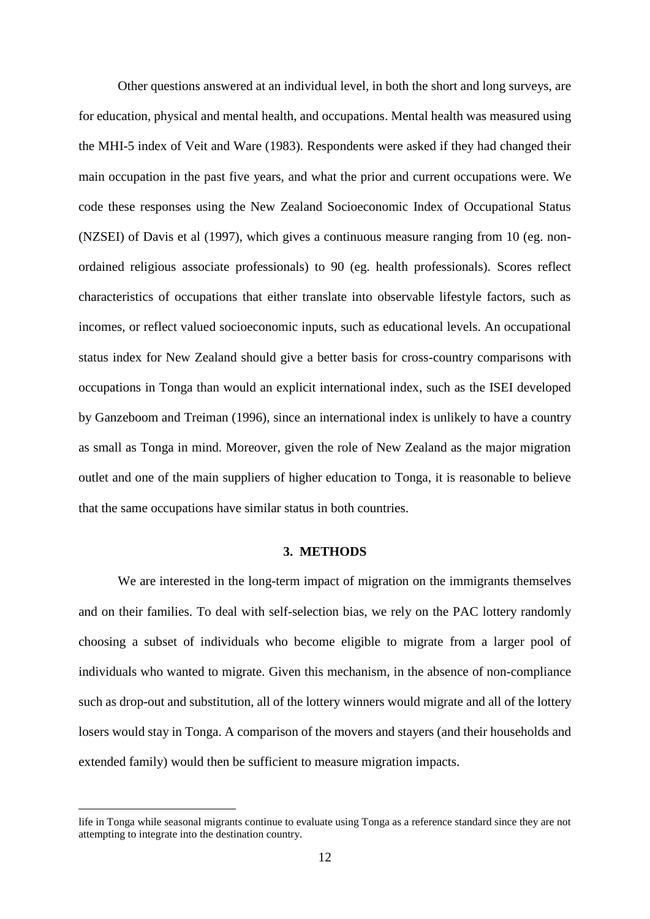Other questions answered at an individual level, in both the short and long surveys, are for education, physical and mental health, and occupations. Mental health was measured using the MHI-5 index of Veit and Ware (1983). Respondents were asked if they had changed their main occupation in the past five years, and what the prior and current occupations were. We code these responses using the New Zealand Socioeconomic Index of Occupational Status (NZSEI) of Davis et al (1997), which gives a continuous measure ranging from 10 (eg. nonordained religious associate professionals) to 90 (eg. health professionals). Scores reflect characteristics of occupations that either translate into observable lifestyle factors, such as incomes, or reflect valued socioeconomic inputs, such as educational levels. An occupational status index for New Zealand should give a better basis for cross-country comparisons with occupations in Tonga than would an explicit international index, such as the ISEI developed by Ganzeboom and Treiman (1996), since an international index is unlikely to have a country as small as Tonga in mind. Moreover, given the role of New Zealand as the major migration outlet and one of the main suppliers of higher education to Tonga, it is reasonable to believe that the same occupations have similar status in both countries.

#### **3. METHODS**

We are interested in the long-term impact of migration on the immigrants themselves and on their families. To deal with self-selection bias, we rely on the PAC lottery randomly choosing a subset of individuals who become eligible to migrate from a larger pool of individuals who wanted to migrate. Given this mechanism, in the absence of non-compliance such as drop-out and substitution, all of the lottery winners would migrate and all of the lottery losers would stay in Tonga. A comparison of the movers and stayers (and their households and extended family) would then be sufficient to measure migration impacts.

life in Tonga while seasonal migrants continue to evaluate using Tonga as a reference standard since they are not attempting to integrate into the destination country.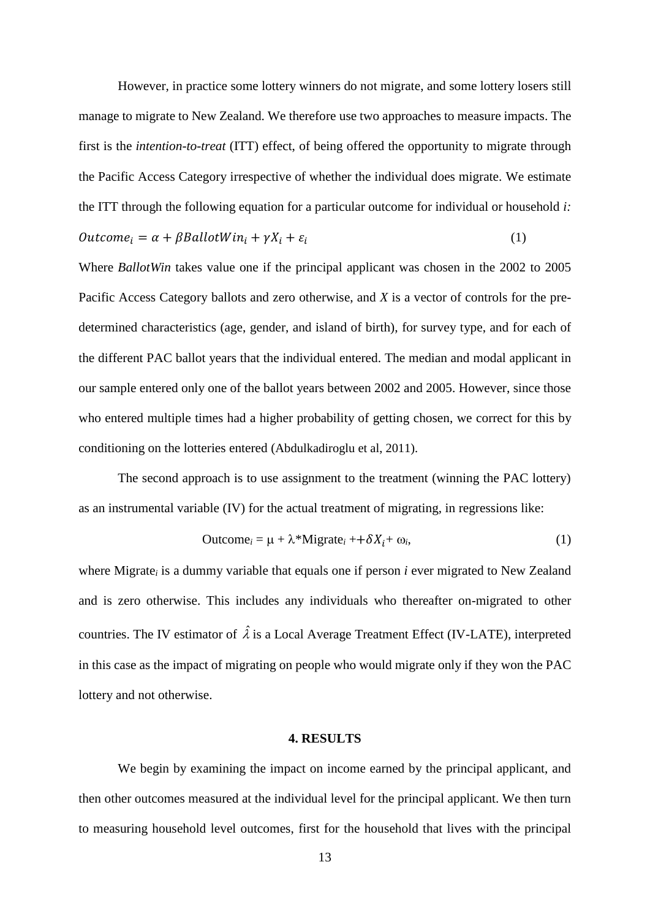However, in practice some lottery winners do not migrate, and some lottery losers still manage to migrate to New Zealand. We therefore use two approaches to measure impacts. The first is the *intention-to-treat* (ITT) effect, of being offered the opportunity to migrate through the Pacific Access Category irrespective of whether the individual does migrate. We estimate the ITT through the following equation for a particular outcome for individual or household *i:*  $\textit{Outcome}_i = \alpha + \beta \textit{BallotWin}_i + \gamma X_i + \varepsilon_i$ (1)

Where *BallotWin* takes value one if the principal applicant was chosen in the 2002 to 2005 Pacific Access Category ballots and zero otherwise, and *X* is a vector of controls for the predetermined characteristics (age, gender, and island of birth), for survey type, and for each of the different PAC ballot years that the individual entered. The median and modal applicant in our sample entered only one of the ballot years between 2002 and 2005. However, since those who entered multiple times had a higher probability of getting chosen, we correct for this by conditioning on the lotteries entered (Abdulkadiroglu et al, 2011).

The second approach is to use assignment to the treatment (winning the PAC lottery) as an instrumental variable (IV) for the actual treatment of migrating, in regressions like:

$$
Outcome_i = \mu + \lambda^*Migrate_i + \delta X_i + \omega_i,
$$
\n(1)

where Migrate*<sup>i</sup>* is a dummy variable that equals one if person *i* ever migrated to New Zealand and is zero otherwise. This includes any individuals who thereafter on-migrated to other countries. The IV estimator of  $\hat{\lambda}$  is a Local Average Treatment Effect (IV-LATE), interpreted in this case as the impact of migrating on people who would migrate only if they won the PAC lottery and not otherwise.

#### **4. RESULTS**

We begin by examining the impact on income earned by the principal applicant, and then other outcomes measured at the individual level for the principal applicant. We then turn to measuring household level outcomes, first for the household that lives with the principal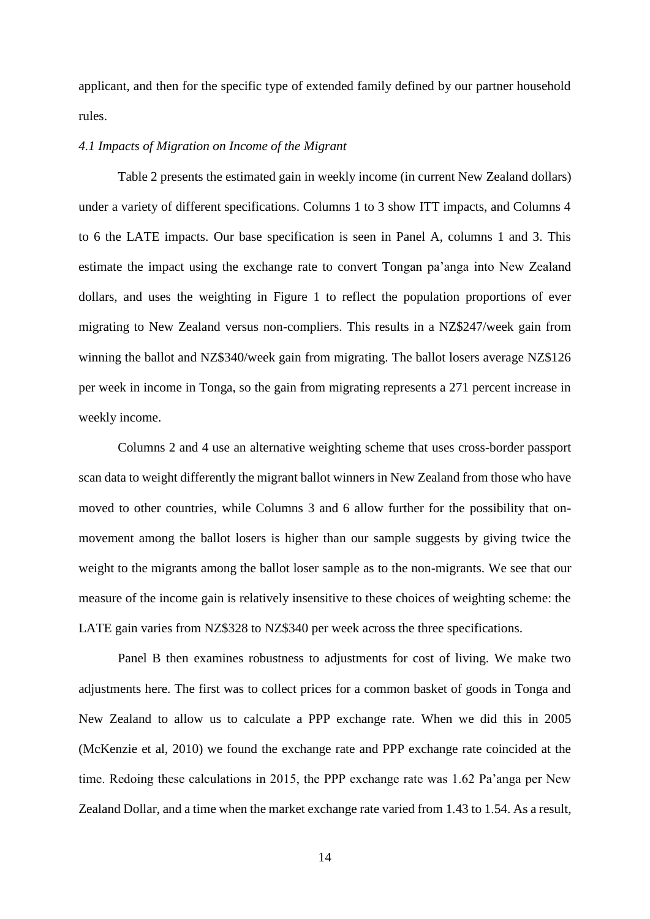applicant, and then for the specific type of extended family defined by our partner household rules.

#### *4.1 Impacts of Migration on Income of the Migrant*

Table 2 presents the estimated gain in weekly income (in current New Zealand dollars) under a variety of different specifications. Columns 1 to 3 show ITT impacts, and Columns 4 to 6 the LATE impacts. Our base specification is seen in Panel A, columns 1 and 3. This estimate the impact using the exchange rate to convert Tongan pa'anga into New Zealand dollars, and uses the weighting in Figure 1 to reflect the population proportions of ever migrating to New Zealand versus non-compliers. This results in a NZ\$247/week gain from winning the ballot and NZ\$340/week gain from migrating. The ballot losers average NZ\$126 per week in income in Tonga, so the gain from migrating represents a 271 percent increase in weekly income.

Columns 2 and 4 use an alternative weighting scheme that uses cross-border passport scan data to weight differently the migrant ballot winners in New Zealand from those who have moved to other countries, while Columns 3 and 6 allow further for the possibility that onmovement among the ballot losers is higher than our sample suggests by giving twice the weight to the migrants among the ballot loser sample as to the non-migrants. We see that our measure of the income gain is relatively insensitive to these choices of weighting scheme: the LATE gain varies from NZ\$328 to NZ\$340 per week across the three specifications.

Panel B then examines robustness to adjustments for cost of living. We make two adjustments here. The first was to collect prices for a common basket of goods in Tonga and New Zealand to allow us to calculate a PPP exchange rate. When we did this in 2005 (McKenzie et al, 2010) we found the exchange rate and PPP exchange rate coincided at the time. Redoing these calculations in 2015, the PPP exchange rate was 1.62 Pa'anga per New Zealand Dollar, and a time when the market exchange rate varied from 1.43 to 1.54. As a result,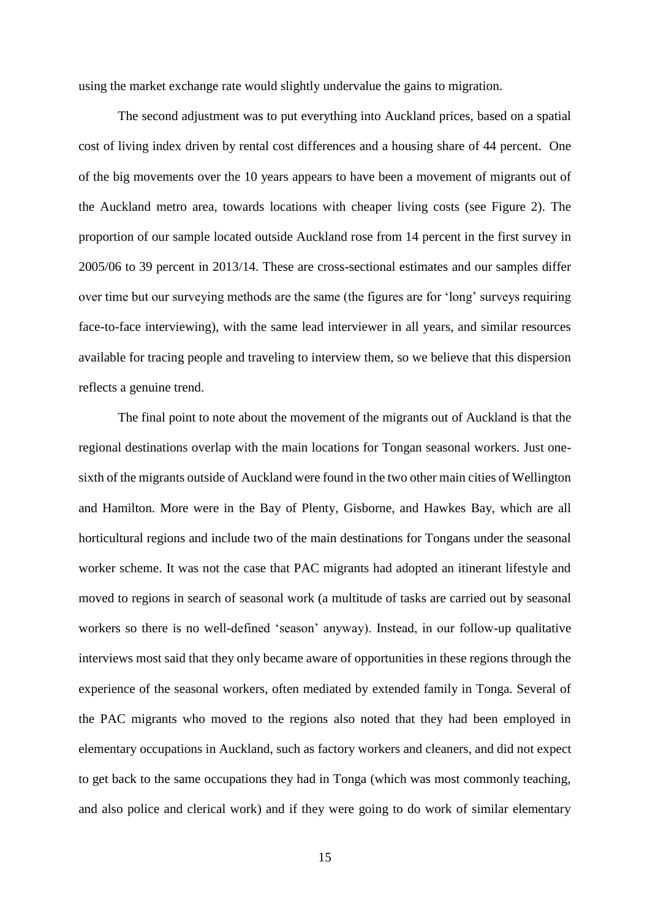using the market exchange rate would slightly undervalue the gains to migration.

The second adjustment was to put everything into Auckland prices, based on a spatial cost of living index driven by rental cost differences and a housing share of 44 percent. One of the big movements over the 10 years appears to have been a movement of migrants out of the Auckland metro area, towards locations with cheaper living costs (see Figure 2). The proportion of our sample located outside Auckland rose from 14 percent in the first survey in 2005/06 to 39 percent in 2013/14. These are cross-sectional estimates and our samples differ over time but our surveying methods are the same (the figures are for 'long' surveys requiring face-to-face interviewing), with the same lead interviewer in all years, and similar resources available for tracing people and traveling to interview them, so we believe that this dispersion reflects a genuine trend.

The final point to note about the movement of the migrants out of Auckland is that the regional destinations overlap with the main locations for Tongan seasonal workers. Just onesixth of the migrants outside of Auckland were found in the two other main cities of Wellington and Hamilton. More were in the Bay of Plenty, Gisborne, and Hawkes Bay, which are all horticultural regions and include two of the main destinations for Tongans under the seasonal worker scheme. It was not the case that PAC migrants had adopted an itinerant lifestyle and moved to regions in search of seasonal work (a multitude of tasks are carried out by seasonal workers so there is no well-defined 'season' anyway). Instead, in our follow-up qualitative interviews most said that they only became aware of opportunities in these regions through the experience of the seasonal workers, often mediated by extended family in Tonga. Several of the PAC migrants who moved to the regions also noted that they had been employed in elementary occupations in Auckland, such as factory workers and cleaners, and did not expect to get back to the same occupations they had in Tonga (which was most commonly teaching, and also police and clerical work) and if they were going to do work of similar elementary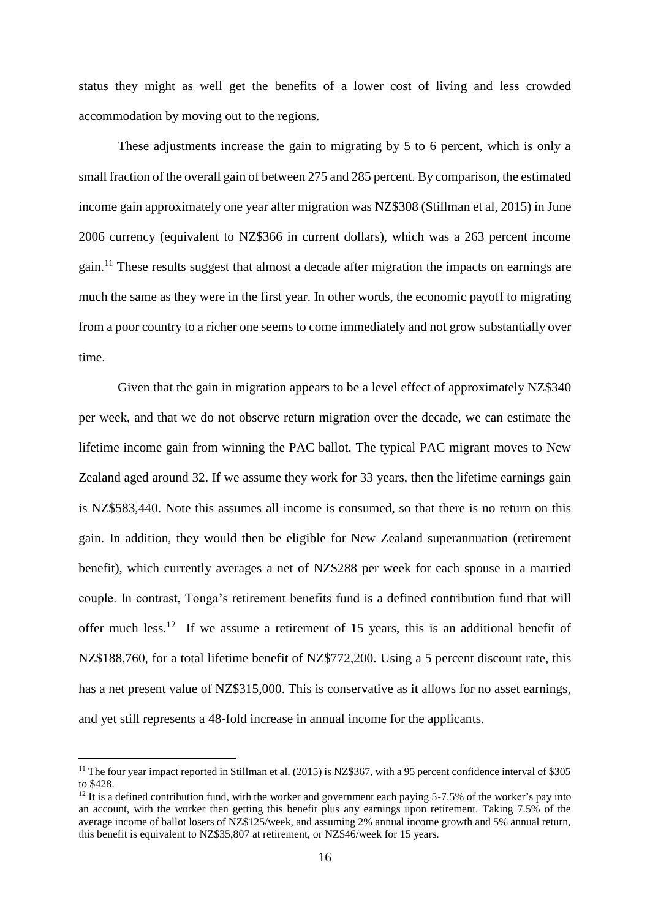status they might as well get the benefits of a lower cost of living and less crowded accommodation by moving out to the regions.

These adjustments increase the gain to migrating by 5 to 6 percent, which is only a small fraction of the overall gain of between 275 and 285 percent. By comparison, the estimated income gain approximately one year after migration was NZ\$308 (Stillman et al, 2015) in June 2006 currency (equivalent to NZ\$366 in current dollars), which was a 263 percent income gain.<sup>11</sup> These results suggest that almost a decade after migration the impacts on earnings are much the same as they were in the first year. In other words, the economic payoff to migrating from a poor country to a richer one seems to come immediately and not grow substantially over time.

Given that the gain in migration appears to be a level effect of approximately NZ\$340 per week, and that we do not observe return migration over the decade, we can estimate the lifetime income gain from winning the PAC ballot. The typical PAC migrant moves to New Zealand aged around 32. If we assume they work for 33 years, then the lifetime earnings gain is NZ\$583,440. Note this assumes all income is consumed, so that there is no return on this gain. In addition, they would then be eligible for New Zealand superannuation (retirement benefit), which currently averages a net of NZ\$288 per week for each spouse in a married couple. In contrast, Tonga's retirement benefits fund is a defined contribution fund that will offer much less.<sup>12</sup> If we assume a retirement of 15 years, this is an additional benefit of NZ\$188,760, for a total lifetime benefit of NZ\$772,200. Using a 5 percent discount rate, this has a net present value of NZ\$315,000. This is conservative as it allows for no asset earnings, and yet still represents a 48-fold increase in annual income for the applicants.

<sup>&</sup>lt;sup>11</sup> The four year impact reported in Stillman et al. (2015) is NZ\$367, with a 95 percent confidence interval of \$305 to \$428.

<sup>&</sup>lt;sup>12</sup> It is a defined contribution fund, with the worker and government each paying 5-7.5% of the worker's pay into an account, with the worker then getting this benefit plus any earnings upon retirement. Taking 7.5% of the average income of ballot losers of NZ\$125/week, and assuming 2% annual income growth and 5% annual return, this benefit is equivalent to NZ\$35,807 at retirement, or NZ\$46/week for 15 years.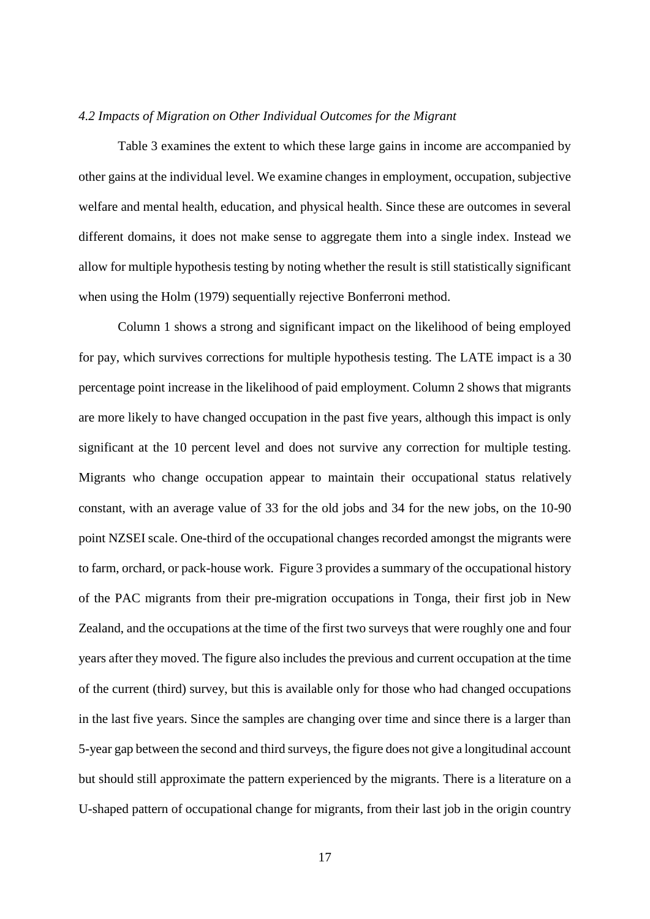#### *4.2 Impacts of Migration on Other Individual Outcomes for the Migrant*

Table 3 examines the extent to which these large gains in income are accompanied by other gains at the individual level. We examine changes in employment, occupation, subjective welfare and mental health, education, and physical health. Since these are outcomes in several different domains, it does not make sense to aggregate them into a single index. Instead we allow for multiple hypothesis testing by noting whether the result is still statistically significant when using the Holm (1979) sequentially rejective Bonferroni method.

Column 1 shows a strong and significant impact on the likelihood of being employed for pay, which survives corrections for multiple hypothesis testing. The LATE impact is a 30 percentage point increase in the likelihood of paid employment. Column 2 shows that migrants are more likely to have changed occupation in the past five years, although this impact is only significant at the 10 percent level and does not survive any correction for multiple testing. Migrants who change occupation appear to maintain their occupational status relatively constant, with an average value of 33 for the old jobs and 34 for the new jobs, on the 10-90 point NZSEI scale. One-third of the occupational changes recorded amongst the migrants were to farm, orchard, or pack-house work. Figure 3 provides a summary of the occupational history of the PAC migrants from their pre-migration occupations in Tonga, their first job in New Zealand, and the occupations at the time of the first two surveys that were roughly one and four years after they moved. The figure also includes the previous and current occupation at the time of the current (third) survey, but this is available only for those who had changed occupations in the last five years. Since the samples are changing over time and since there is a larger than 5-year gap between the second and third surveys, the figure does not give a longitudinal account but should still approximate the pattern experienced by the migrants. There is a literature on a U-shaped pattern of occupational change for migrants, from their last job in the origin country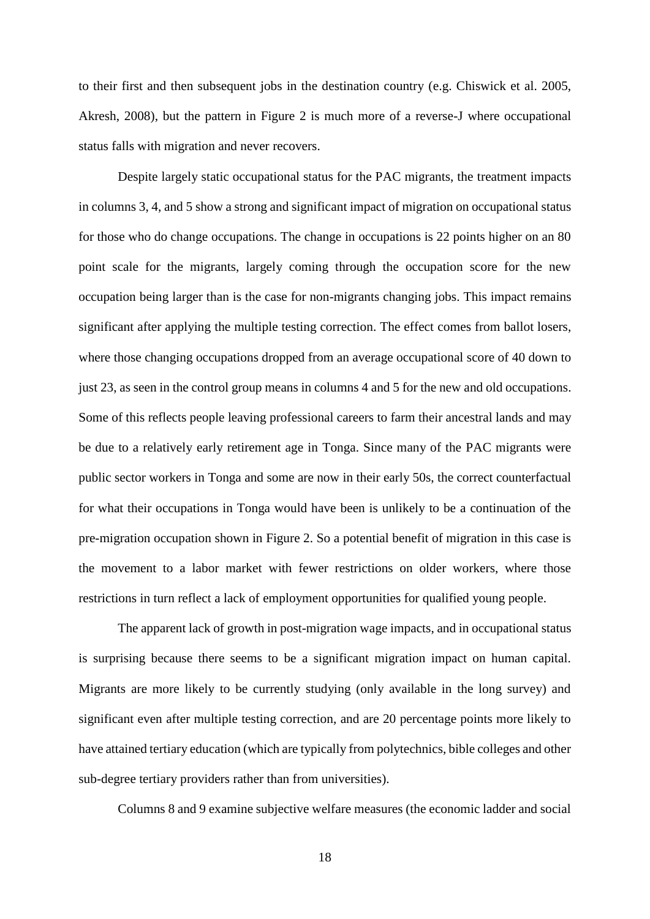to their first and then subsequent jobs in the destination country (e.g. Chiswick et al. 2005, Akresh, 2008), but the pattern in Figure 2 is much more of a reverse-J where occupational status falls with migration and never recovers.

Despite largely static occupational status for the PAC migrants, the treatment impacts in columns 3, 4, and 5 show a strong and significant impact of migration on occupational status for those who do change occupations. The change in occupations is 22 points higher on an 80 point scale for the migrants, largely coming through the occupation score for the new occupation being larger than is the case for non-migrants changing jobs. This impact remains significant after applying the multiple testing correction. The effect comes from ballot losers, where those changing occupations dropped from an average occupational score of 40 down to just 23, as seen in the control group means in columns 4 and 5 for the new and old occupations. Some of this reflects people leaving professional careers to farm their ancestral lands and may be due to a relatively early retirement age in Tonga. Since many of the PAC migrants were public sector workers in Tonga and some are now in their early 50s, the correct counterfactual for what their occupations in Tonga would have been is unlikely to be a continuation of the pre-migration occupation shown in Figure 2. So a potential benefit of migration in this case is the movement to a labor market with fewer restrictions on older workers, where those restrictions in turn reflect a lack of employment opportunities for qualified young people.

The apparent lack of growth in post-migration wage impacts, and in occupational status is surprising because there seems to be a significant migration impact on human capital. Migrants are more likely to be currently studying (only available in the long survey) and significant even after multiple testing correction, and are 20 percentage points more likely to have attained tertiary education (which are typically from polytechnics, bible colleges and other sub-degree tertiary providers rather than from universities).

Columns 8 and 9 examine subjective welfare measures (the economic ladder and social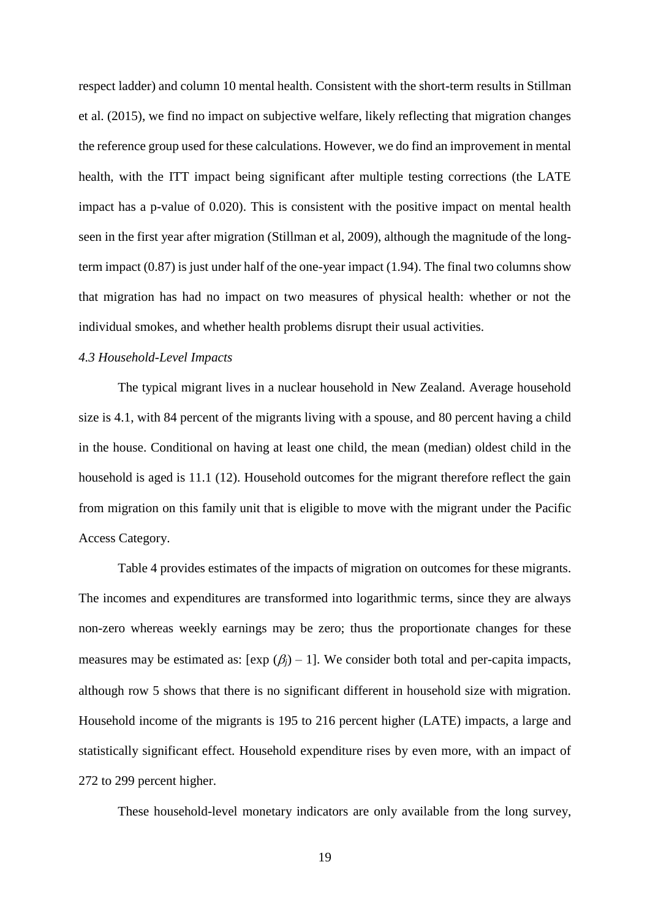respect ladder) and column 10 mental health. Consistent with the short-term results in Stillman et al. (2015), we find no impact on subjective welfare, likely reflecting that migration changes the reference group used for these calculations. However, we do find an improvement in mental health, with the ITT impact being significant after multiple testing corrections (the LATE impact has a p-value of 0.020). This is consistent with the positive impact on mental health seen in the first year after migration (Stillman et al, 2009), although the magnitude of the longterm impact (0.87) is just under half of the one-year impact (1.94). The final two columns show that migration has had no impact on two measures of physical health: whether or not the individual smokes, and whether health problems disrupt their usual activities.

#### *4.3 Household-Level Impacts*

The typical migrant lives in a nuclear household in New Zealand. Average household size is 4.1, with 84 percent of the migrants living with a spouse, and 80 percent having a child in the house. Conditional on having at least one child, the mean (median) oldest child in the household is aged is 11.1 (12). Household outcomes for the migrant therefore reflect the gain from migration on this family unit that is eligible to move with the migrant under the Pacific Access Category.

Table 4 provides estimates of the impacts of migration on outcomes for these migrants. The incomes and expenditures are transformed into logarithmic terms, since they are always non-zero whereas weekly earnings may be zero; thus the proportionate changes for these measures may be estimated as:  $[\exp (\beta_j) - 1]$ . We consider both total and per-capita impacts, although row 5 shows that there is no significant different in household size with migration. Household income of the migrants is 195 to 216 percent higher (LATE) impacts, a large and statistically significant effect. Household expenditure rises by even more, with an impact of 272 to 299 percent higher.

These household-level monetary indicators are only available from the long survey,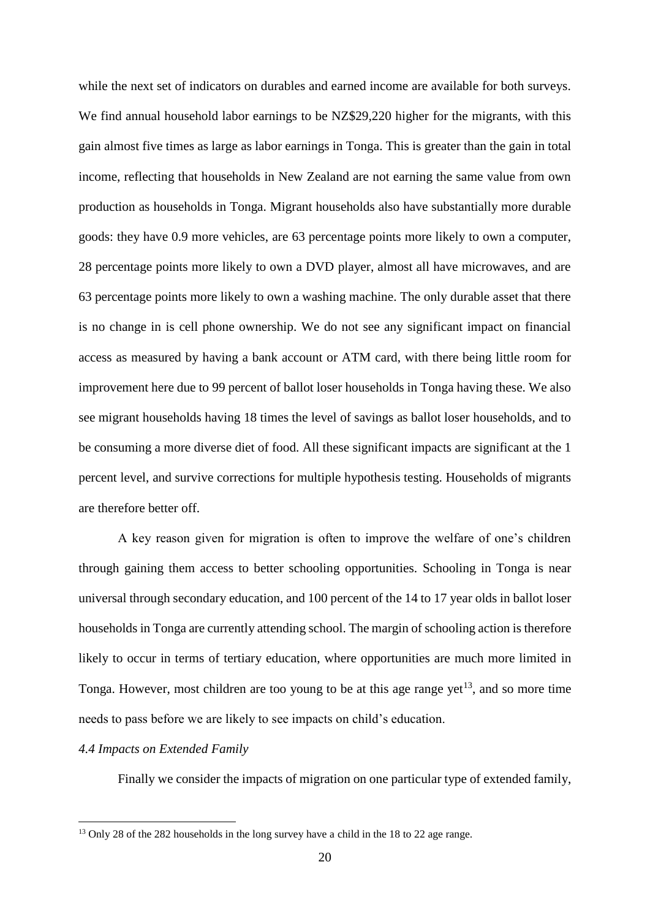while the next set of indicators on durables and earned income are available for both surveys. We find annual household labor earnings to be NZ\$29,220 higher for the migrants, with this gain almost five times as large as labor earnings in Tonga. This is greater than the gain in total income, reflecting that households in New Zealand are not earning the same value from own production as households in Tonga. Migrant households also have substantially more durable goods: they have 0.9 more vehicles, are 63 percentage points more likely to own a computer, 28 percentage points more likely to own a DVD player, almost all have microwaves, and are 63 percentage points more likely to own a washing machine. The only durable asset that there is no change in is cell phone ownership. We do not see any significant impact on financial access as measured by having a bank account or ATM card, with there being little room for improvement here due to 99 percent of ballot loser households in Tonga having these. We also see migrant households having 18 times the level of savings as ballot loser households, and to be consuming a more diverse diet of food. All these significant impacts are significant at the 1 percent level, and survive corrections for multiple hypothesis testing. Households of migrants are therefore better off.

A key reason given for migration is often to improve the welfare of one's children through gaining them access to better schooling opportunities. Schooling in Tonga is near universal through secondary education, and 100 percent of the 14 to 17 year olds in ballot loser households in Tonga are currently attending school. The margin of schooling action is therefore likely to occur in terms of tertiary education, where opportunities are much more limited in Tonga. However, most children are too young to be at this age range yet<sup>13</sup>, and so more time needs to pass before we are likely to see impacts on child's education.

#### *4.4 Impacts on Extended Family*

1

Finally we consider the impacts of migration on one particular type of extended family,

<sup>&</sup>lt;sup>13</sup> Only 28 of the 282 households in the long survey have a child in the 18 to 22 age range.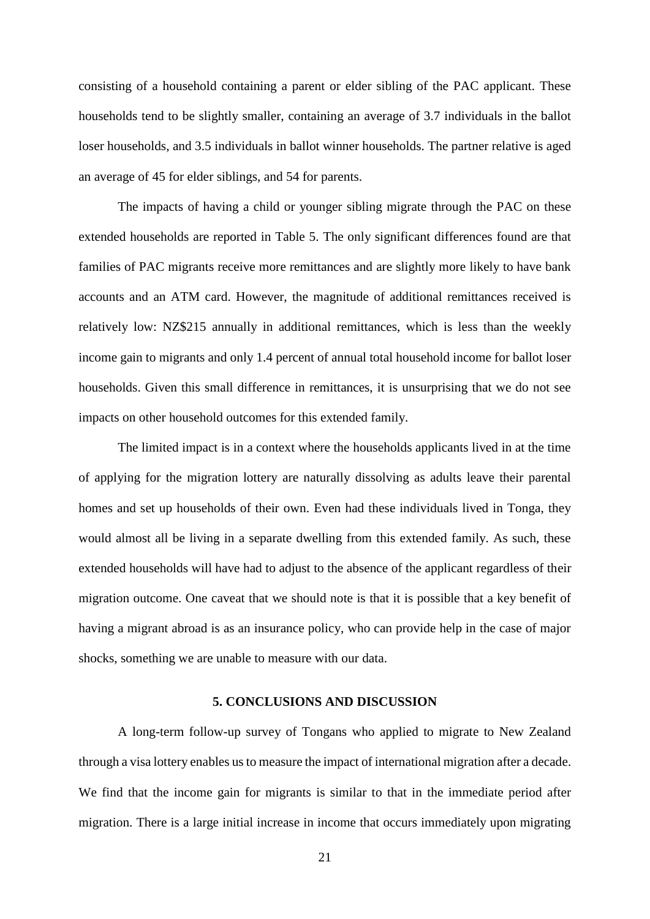consisting of a household containing a parent or elder sibling of the PAC applicant. These households tend to be slightly smaller, containing an average of 3.7 individuals in the ballot loser households, and 3.5 individuals in ballot winner households. The partner relative is aged an average of 45 for elder siblings, and 54 for parents.

The impacts of having a child or younger sibling migrate through the PAC on these extended households are reported in Table 5. The only significant differences found are that families of PAC migrants receive more remittances and are slightly more likely to have bank accounts and an ATM card. However, the magnitude of additional remittances received is relatively low: NZ\$215 annually in additional remittances, which is less than the weekly income gain to migrants and only 1.4 percent of annual total household income for ballot loser households. Given this small difference in remittances, it is unsurprising that we do not see impacts on other household outcomes for this extended family.

The limited impact is in a context where the households applicants lived in at the time of applying for the migration lottery are naturally dissolving as adults leave their parental homes and set up households of their own. Even had these individuals lived in Tonga, they would almost all be living in a separate dwelling from this extended family. As such, these extended households will have had to adjust to the absence of the applicant regardless of their migration outcome. One caveat that we should note is that it is possible that a key benefit of having a migrant abroad is as an insurance policy, who can provide help in the case of major shocks, something we are unable to measure with our data.

#### **5. CONCLUSIONS AND DISCUSSION**

A long-term follow-up survey of Tongans who applied to migrate to New Zealand through a visa lottery enables us to measure the impact of international migration after a decade. We find that the income gain for migrants is similar to that in the immediate period after migration. There is a large initial increase in income that occurs immediately upon migrating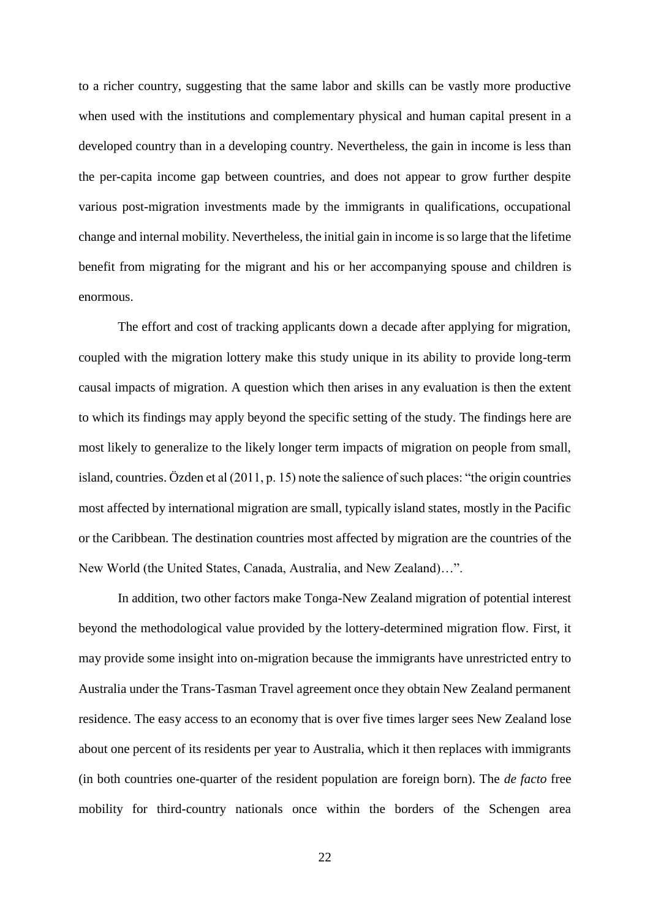to a richer country, suggesting that the same labor and skills can be vastly more productive when used with the institutions and complementary physical and human capital present in a developed country than in a developing country. Nevertheless, the gain in income is less than the per-capita income gap between countries, and does not appear to grow further despite various post-migration investments made by the immigrants in qualifications, occupational change and internal mobility. Nevertheless, the initial gain in income is so large that the lifetime benefit from migrating for the migrant and his or her accompanying spouse and children is enormous.

The effort and cost of tracking applicants down a decade after applying for migration, coupled with the migration lottery make this study unique in its ability to provide long-term causal impacts of migration. A question which then arises in any evaluation is then the extent to which its findings may apply beyond the specific setting of the study. The findings here are most likely to generalize to the likely longer term impacts of migration on people from small, island, countries. Özden et al (2011, p. 15) note the salience of such places: "the origin countries most affected by international migration are small, typically island states, mostly in the Pacific or the Caribbean. The destination countries most affected by migration are the countries of the New World (the United States, Canada, Australia, and New Zealand)…".

In addition, two other factors make Tonga-New Zealand migration of potential interest beyond the methodological value provided by the lottery-determined migration flow. First, it may provide some insight into on-migration because the immigrants have unrestricted entry to Australia under the Trans-Tasman Travel agreement once they obtain New Zealand permanent residence. The easy access to an economy that is over five times larger sees New Zealand lose about one percent of its residents per year to Australia, which it then replaces with immigrants (in both countries one-quarter of the resident population are foreign born). The *de facto* free mobility for third-country nationals once within the borders of the Schengen area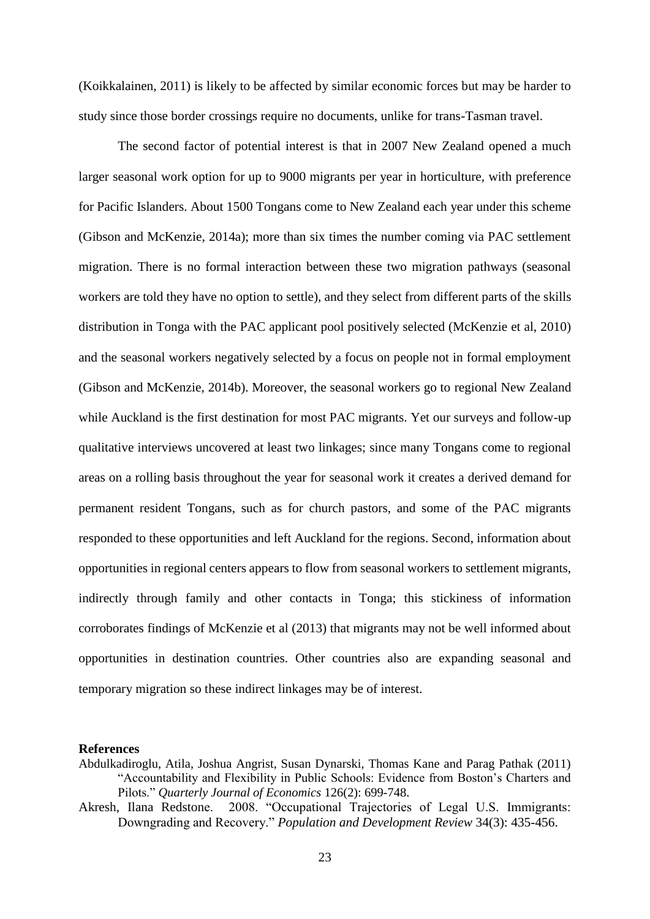(Koikkalainen, 2011) is likely to be affected by similar economic forces but may be harder to study since those border crossings require no documents, unlike for trans-Tasman travel.

The second factor of potential interest is that in 2007 New Zealand opened a much larger seasonal work option for up to 9000 migrants per year in horticulture, with preference for Pacific Islanders. About 1500 Tongans come to New Zealand each year under this scheme (Gibson and McKenzie, 2014a); more than six times the number coming via PAC settlement migration. There is no formal interaction between these two migration pathways (seasonal workers are told they have no option to settle), and they select from different parts of the skills distribution in Tonga with the PAC applicant pool positively selected (McKenzie et al, 2010) and the seasonal workers negatively selected by a focus on people not in formal employment (Gibson and McKenzie, 2014b). Moreover, the seasonal workers go to regional New Zealand while Auckland is the first destination for most PAC migrants. Yet our surveys and follow-up qualitative interviews uncovered at least two linkages; since many Tongans come to regional areas on a rolling basis throughout the year for seasonal work it creates a derived demand for permanent resident Tongans, such as for church pastors, and some of the PAC migrants responded to these opportunities and left Auckland for the regions. Second, information about opportunities in regional centers appears to flow from seasonal workers to settlement migrants, indirectly through family and other contacts in Tonga; this stickiness of information corroborates findings of McKenzie et al (2013) that migrants may not be well informed about opportunities in destination countries. Other countries also are expanding seasonal and temporary migration so these indirect linkages may be of interest.

#### **References**

- Abdulkadiroglu, Atila, Joshua Angrist, Susan Dynarski, Thomas Kane and Parag Pathak (2011) "Accountability and Flexibility in Public Schools: Evidence from Boston's Charters and Pilots." *Quarterly Journal of Economics* 126(2): 699-748.
- Akresh, Ilana Redstone. 2008. "Occupational Trajectories of Legal U.S. Immigrants: Downgrading and Recovery." *Population and Development Review* 34(3): 435-456.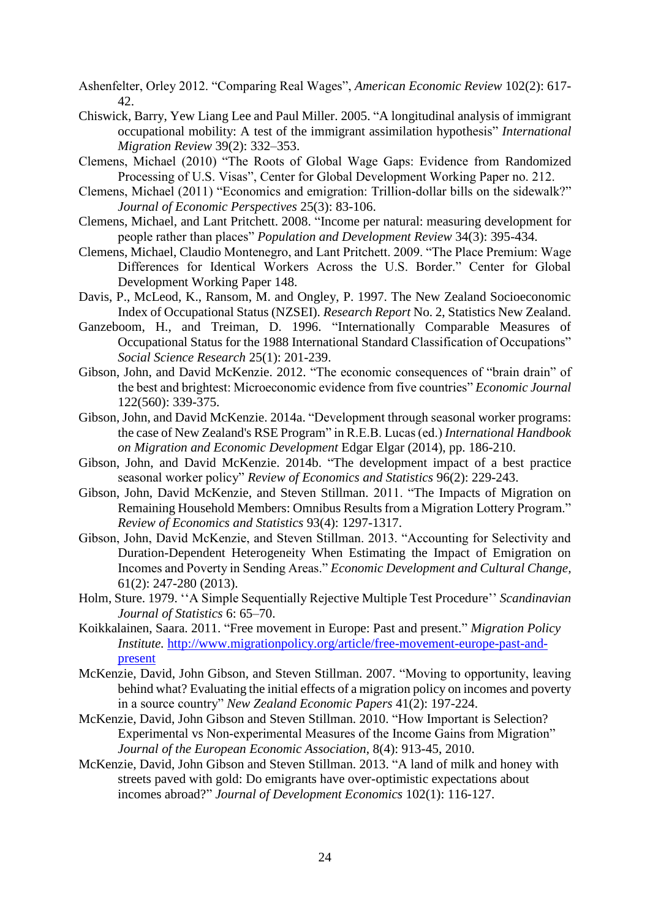- Ashenfelter, Orley 2012. "Comparing Real Wages", *American Economic Review* 102(2): 617- 42.
- Chiswick, Barry, Yew Liang Lee and Paul Miller. 2005. "A longitudinal analysis of immigrant occupational mobility: A test of the immigrant assimilation hypothesis" *International Migration Review* 39(2): 332–353.
- Clemens, Michael (2010) "The Roots of Global Wage Gaps: Evidence from Randomized Processing of U.S. Visas", Center for Global Development Working Paper no. 212.
- Clemens, Michael (2011) "Economics and emigration: Trillion-dollar bills on the sidewalk?" *Journal of Economic Perspectives* 25(3): 83-106.
- Clemens, Michael, and Lant Pritchett. 2008. "Income per natural: measuring development for people rather than places" *Population and Development Review* 34(3): 395-434.
- Clemens, Michael, Claudio Montenegro, and Lant Pritchett. 2009. "The Place Premium: Wage Differences for Identical Workers Across the U.S. Border." Center for Global Development Working Paper 148.
- Davis, P., McLeod, K., Ransom, M. and Ongley, P. 1997. The New Zealand Socioeconomic Index of Occupational Status (NZSEI). *Research Report* No. 2, Statistics New Zealand.
- Ganzeboom, H., and Treiman, D. 1996. "Internationally Comparable Measures of Occupational Status for the 1988 International Standard Classification of Occupations" *Social Science Research* 25(1): 201-239.
- Gibson, John, and David McKenzie. 2012. "The economic consequences of "brain drain" of the best and brightest: Microeconomic evidence from five countries" *Economic Journal*  122(560): 339-375.
- Gibson, John, and David McKenzie. 2014a. "Development through seasonal worker programs: the case of New Zealand's RSE Program" in R.E.B. Lucas (ed.) *International Handbook on Migration and Economic Development* Edgar Elgar (2014), pp. 186-210.
- Gibson, John, and David McKenzie. 2014b. "The development impact of a best practice seasonal worker policy" *Review of Economics and Statistics* 96(2): 229-243.
- Gibson, John, David McKenzie, and Steven Stillman. 2011. "The Impacts of Migration on Remaining Household Members: Omnibus Results from a Migration Lottery Program." *Review of Economics and Statistics* 93(4): 1297-1317.
- Gibson, John, David McKenzie, and Steven Stillman. 2013. "Accounting for Selectivity and Duration-Dependent Heterogeneity When Estimating the Impact of Emigration on Incomes and Poverty in Sending Areas." *Economic Development and Cultural Change,*  61(2): 247-280 (2013).
- Holm, Sture. 1979. ''A Simple Sequentially Rejective Multiple Test Procedure'' *Scandinavian Journal of Statistics* 6: 65–70.
- Koikkalainen, Saara. 2011. "Free movement in Europe: Past and present." *Migration Policy Institute.* [http://www.migrationpolicy.org/article/free-movement-europe-past-and](http://www.migrationpolicy.org/article/free-movement-europe-past-and-present)[present](http://www.migrationpolicy.org/article/free-movement-europe-past-and-present)
- McKenzie, David, John Gibson, and Steven Stillman. 2007. "Moving to opportunity, leaving behind what? Evaluating the initial effects of a migration policy on incomes and poverty in a source country" *New Zealand Economic Papers* 41(2): 197-224.
- McKenzie, David, John Gibson and Steven Stillman. 2010. "How Important is Selection? Experimental vs Non-experimental Measures of the Income Gains from Migration" *Journal of the European Economic Association*, 8(4): 913-45, 2010.
- McKenzie, David, John Gibson and Steven Stillman. 2013. "A land of milk and honey with streets paved with gold: Do emigrants have over-optimistic expectations about incomes abroad?" *Journal of Development Economics* 102(1): 116-127.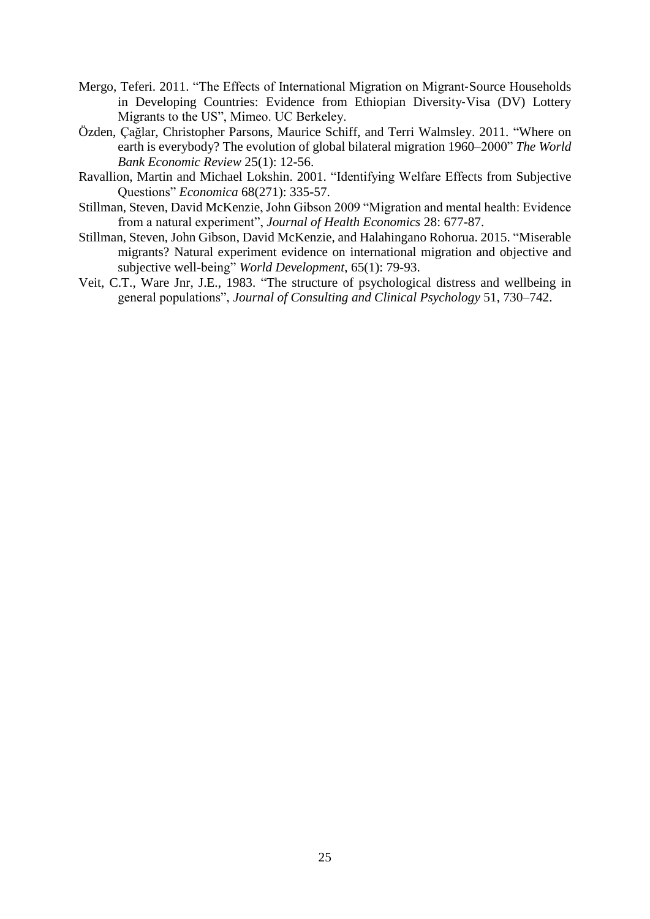- Mergo, Teferi. 2011. "The Effects of International Migration on Migrant‐Source Households in Developing Countries: Evidence from Ethiopian Diversity‐Visa (DV) Lottery Migrants to the US", Mimeo. UC Berkeley.
- Özden, Çağlar, Christopher Parsons, Maurice Schiff, and Terri Walmsley. 2011. "Where on earth is everybody? The evolution of global bilateral migration 1960–2000" *The World Bank Economic Review* 25(1): 12-56.
- Ravallion, Martin and Michael Lokshin. 2001. "Identifying Welfare Effects from Subjective Questions" *Economica* 68(271): 335-57.
- Stillman, Steven, David McKenzie, John Gibson 2009 "Migration and mental health: Evidence from a natural experiment", *Journal of Health Economics* 28: 677-87.
- Stillman, Steven, John Gibson, David McKenzie, and Halahingano Rohorua. 2015. "Miserable migrants? Natural experiment evidence on international migration and objective and subjective well-being" *World Development*, 65(1): 79-93.
- Veit, C.T., Ware Jnr, J.E., 1983. "The structure of psychological distress and wellbeing in general populations", *Journal of Consulting and Clinical Psychology* 51, 730–742.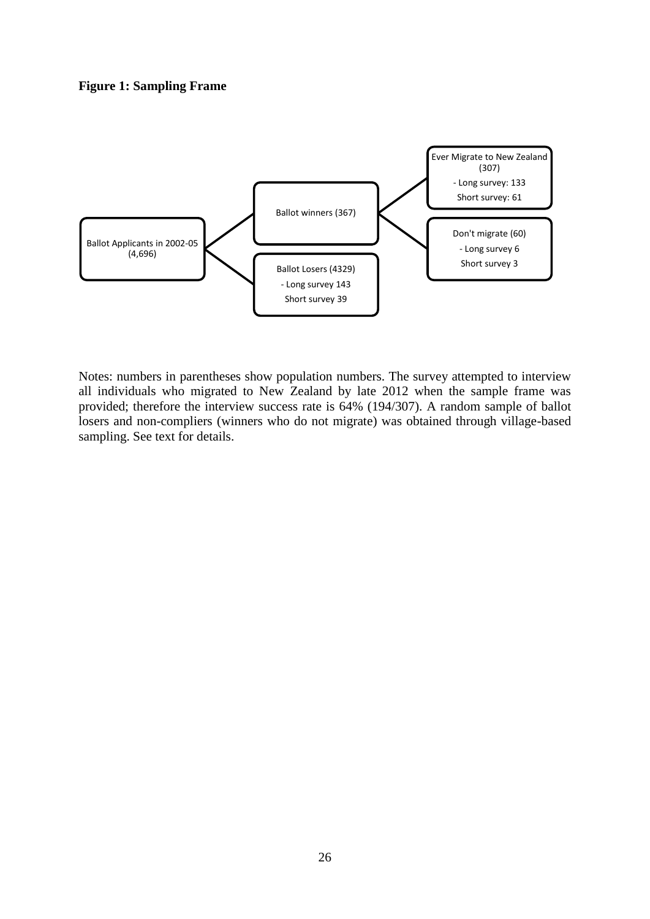#### **Figure 1: Sampling Frame**



Notes: numbers in parentheses show population numbers. The survey attempted to interview all individuals who migrated to New Zealand by late 2012 when the sample frame was provided; therefore the interview success rate is 64% (194/307). A random sample of ballot losers and non-compliers (winners who do not migrate) was obtained through village-based sampling. See text for details.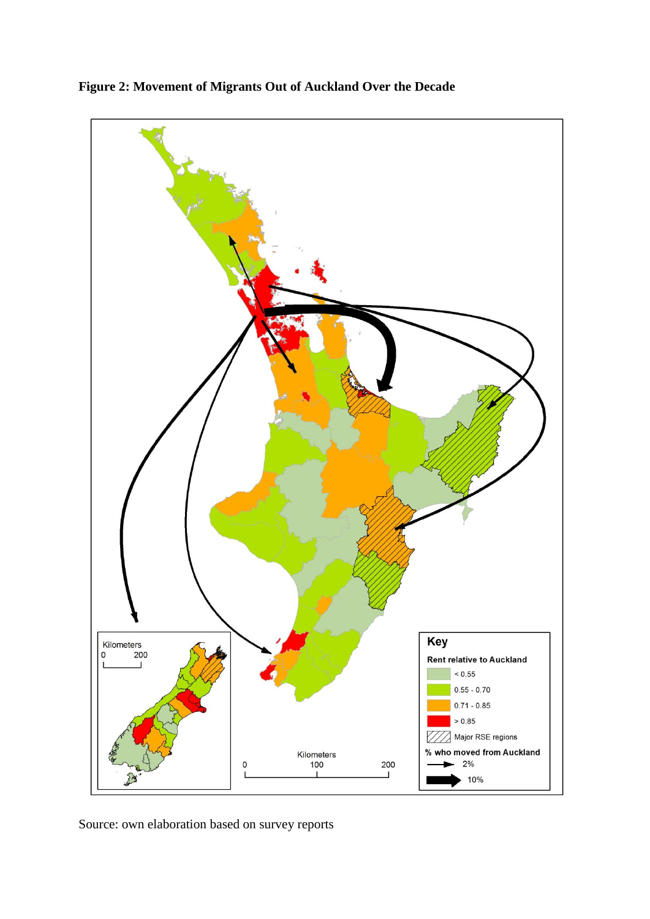

**Figure 2: Movement of Migrants Out of Auckland Over the Decade**

Source: own elaboration based on survey reports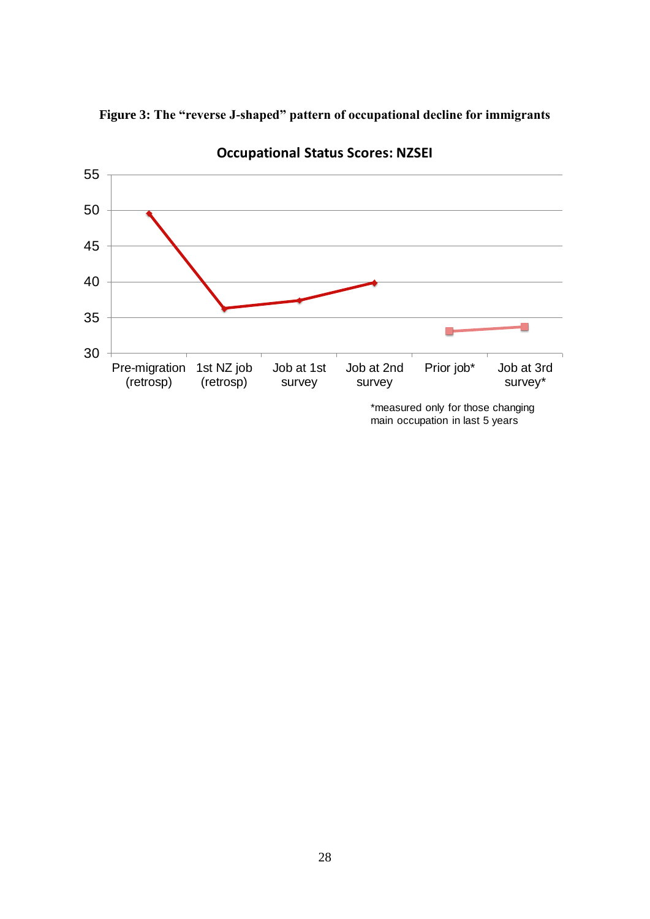



**Occupational Status Scores: NZSEI**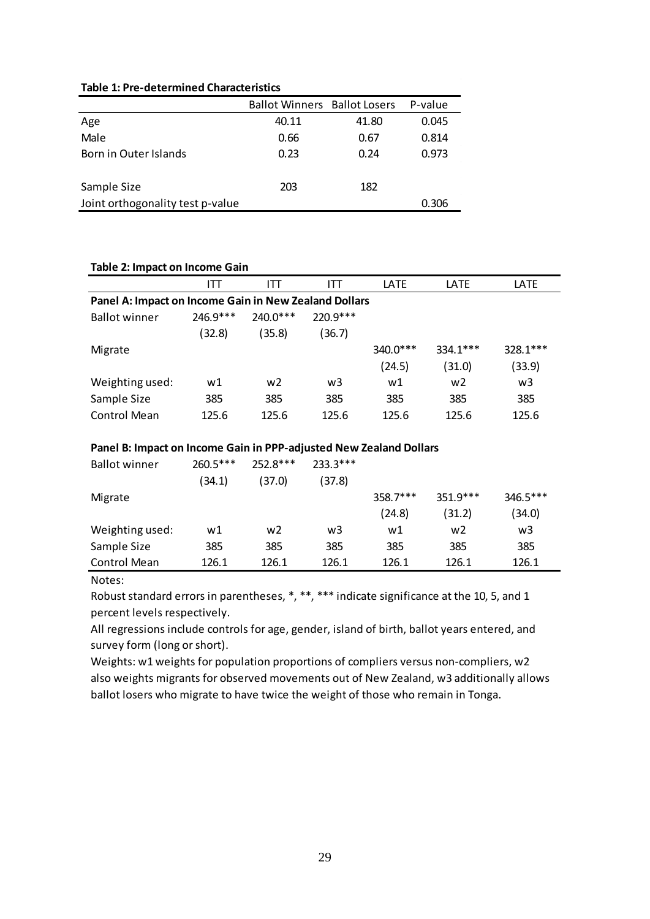|                                  | <b>Ballot Winners Ballot Losers</b> |       | P-value |
|----------------------------------|-------------------------------------|-------|---------|
| Age                              | 40.11                               | 41.80 | 0.045   |
| Male                             | 0.66                                | 0.67  | 0.814   |
| Born in Outer Islands            | 0.23                                | 0.24  | 0.973   |
|                                  |                                     |       |         |
| Sample Size                      | 203                                 | 182   |         |
| Joint orthogonality test p-value |                                     |       | 0.306   |

#### **Table 2: Impact on Income Gain**

|                                                                    | ITT        | IТT            | IТT        | LATE     | LATE           | LATE     |  |  |  |  |
|--------------------------------------------------------------------|------------|----------------|------------|----------|----------------|----------|--|--|--|--|
| Panel A: Impact on Income Gain in New Zealand Dollars              |            |                |            |          |                |          |  |  |  |  |
| <b>Ballot winner</b>                                               | 246.9***   | 240.0***       | 220.9***   |          |                |          |  |  |  |  |
|                                                                    | (32.8)     | (35.8)         | (36.7)     |          |                |          |  |  |  |  |
| Migrate                                                            |            |                |            | 340.0*** | $334.1***$     | 328.1*** |  |  |  |  |
|                                                                    |            |                |            | (24.5)   | (31.0)         | (33.9)   |  |  |  |  |
| Weighting used:                                                    | w1         | w <sub>2</sub> | w3         | w1       | w <sub>2</sub> | w3       |  |  |  |  |
| Sample Size                                                        | 385        | 385            | 385        | 385      | 385            | 385      |  |  |  |  |
| <b>Control Mean</b>                                                | 125.6      | 125.6          | 125.6      | 125.6    | 125.6          | 125.6    |  |  |  |  |
|                                                                    |            |                |            |          |                |          |  |  |  |  |
| Panel B: Impact on Income Gain in PPP-adjusted New Zealand Dollars |            |                |            |          |                |          |  |  |  |  |
| <b>Ballot winner</b>                                               | $260.5***$ | 252.8***       | $233.3***$ |          |                |          |  |  |  |  |
|                                                                    | (34.1)     | (37.0)         | (37.8)     |          |                |          |  |  |  |  |

|                 | (34.1) | 37.01 | (37.8) |          |                |          |
|-----------------|--------|-------|--------|----------|----------------|----------|
| Migrate         |        |       |        | 358.7*** | $351.9***$     | 346.5*** |
|                 |        |       |        | (24.8)   | (31.2)         | (34.0)   |
| Weighting used: | w1     | w2    | w3     | w1       | w <sub>2</sub> | w3       |
| Sample Size     | 385    | 385   | 385    | 385      | 385            | 385      |
| Control Mean    | 126.1  | 126.1 | 126.1  | 126.1    | 126.1          | 126.1    |

Notes:

Robust standard errors in parentheses, \*, \*\*, \*\*\* indicate significance at the 10, 5, and 1 percent levels respectively.

All regressions include controls for age, gender, island of birth, ballot years entered, and survey form (long or short).

Weights: w1 weights for population proportions of compliers versus non-compliers, w2 also weights migrants for observed movements out of New Zealand, w3 additionally allows ballot losers who migrate to have twice the weight of those who remain in Tonga.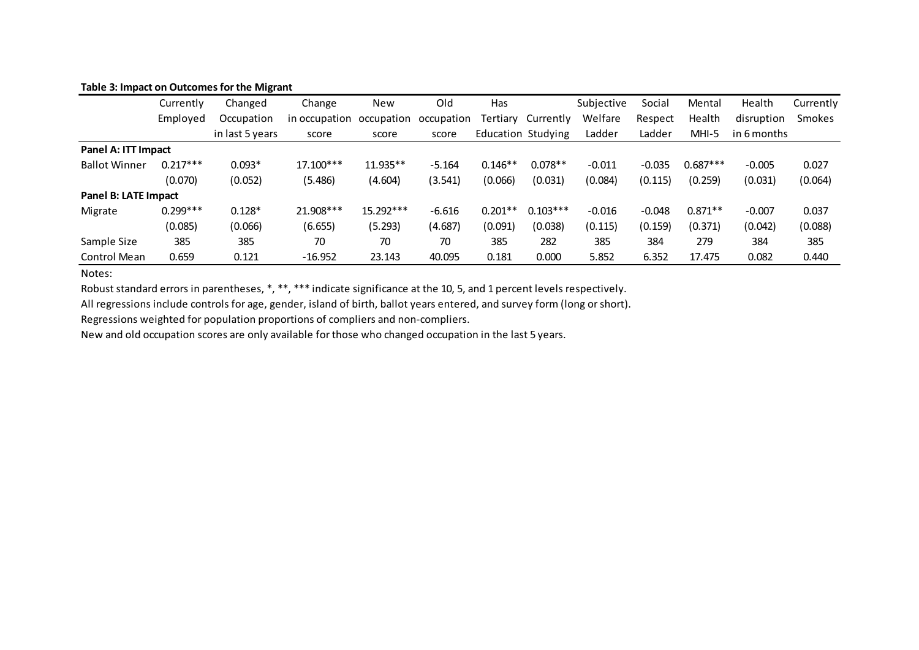#### **Table 3: Impact on Outcomes for the Migrant**

|                      | Currently  | Changed         | Change        | <b>New</b> | Old        | Has                       |            | Subjective | Social   | Mental     | Health      | Currently |
|----------------------|------------|-----------------|---------------|------------|------------|---------------------------|------------|------------|----------|------------|-------------|-----------|
|                      | Employed   | Occupation      | in occupation | occupation | occupation | Tertiarv                  | Currently  | Welfare    | Respect  | Health     | disruption  | Smokes    |
|                      |            | in last 5 years | score         | score      | score      | <b>Education Studying</b> |            | Ladder     | Ladder   | $MHI-5$    | in 6 months |           |
| Panel A: ITT Impact  |            |                 |               |            |            |                           |            |            |          |            |             |           |
| <b>Ballot Winner</b> | $0.217***$ | $0.093*$        | 17.100***     | 11.935**   | $-5.164$   | $0.146**$                 | $0.078**$  | $-0.011$   | $-0.035$ | $0.687***$ | $-0.005$    | 0.027     |
|                      | (0.070)    | (0.052)         | (5.486)       | (4.604)    | (3.541)    | (0.066)                   | (0.031)    | (0.084)    | (0.115)  | (0.259)    | (0.031)     | (0.064)   |
| Panel B: LATE Impact |            |                 |               |            |            |                           |            |            |          |            |             |           |
| Migrate              | $0.299***$ | $0.128*$        | 21.908***     | 15.292***  | $-6.616$   | $0.201**$                 | $0.103***$ | $-0.016$   | $-0.048$ | $0.871**$  | $-0.007$    | 0.037     |
|                      | (0.085)    | (0.066)         | (6.655)       | (5.293)    | (4.687)    | (0.091)                   | (0.038)    | (0.115)    | (0.159)  | (0.371)    | (0.042)     | (0.088)   |
| Sample Size          | 385        | 385             | 70            | 70         | 70         | 385                       | 282        | 385        | 384      | 279        | 384         | 385       |
| Control Mean         | 0.659      | 0.121           | $-16.952$     | 23.143     | 40.095     | 0.181                     | 0.000      | 5.852      | 6.352    | 17.475     | 0.082       | 0.440     |

Notes:

Robust standard errors in parentheses, \*, \*\*, \*\*\* indicate significance at the 10, 5, and 1 percent levels respectively.

All regressions include controls for age, gender, island of birth, ballot years entered, and survey form (long or short).

Regressions weighted for population proportions of compliers and non-compliers.

New and old occupation scores are only available for those who changed occupation in the last 5 years.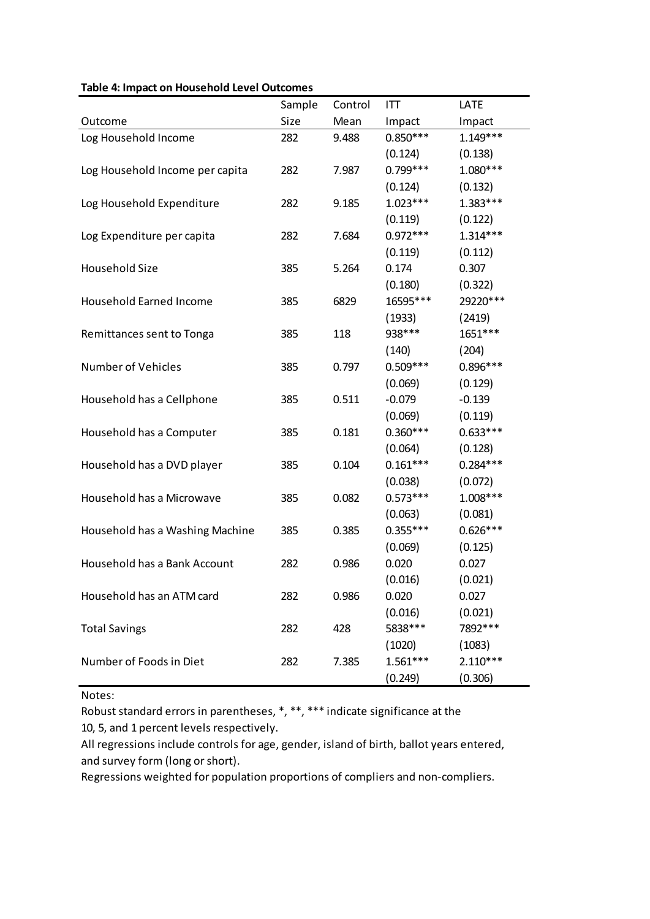|                                 | Sample | Control | ITT        | LATE       |
|---------------------------------|--------|---------|------------|------------|
| Outcome                         | Size   | Mean    | Impact     | Impact     |
| Log Household Income            | 282    | 9.488   | $0.850***$ | $1.149***$ |
|                                 |        |         | (0.124)    | (0.138)    |
| Log Household Income per capita | 282    | 7.987   | $0.799***$ | 1.080***   |
|                                 |        |         | (0.124)    | (0.132)    |
| Log Household Expenditure       | 282    | 9.185   | $1.023***$ | 1.383***   |
|                                 |        |         | (0.119)    | (0.122)    |
| Log Expenditure per capita      | 282    | 7.684   | $0.972***$ | $1.314***$ |
|                                 |        |         | (0.119)    | (0.112)    |
| Household Size                  | 385    | 5.264   | 0.174      | 0.307      |
|                                 |        |         | (0.180)    | (0.322)    |
| Household Earned Income         | 385    | 6829    | 16595***   | 29220***   |
|                                 |        |         | (1933)     | (2419)     |
| Remittances sent to Tonga       | 385    | 118     | 938***     | 1651***    |
|                                 |        |         | (140)      | (204)      |
| Number of Vehicles              | 385    | 0.797   | $0.509***$ | $0.896***$ |
|                                 |        |         | (0.069)    | (0.129)    |
| Household has a Cellphone       | 385    | 0.511   | $-0.079$   | $-0.139$   |
|                                 |        |         | (0.069)    | (0.119)    |
| Household has a Computer        | 385    | 0.181   | $0.360***$ | $0.633***$ |
|                                 |        |         | (0.064)    | (0.128)    |
| Household has a DVD player      | 385    | 0.104   | $0.161***$ | $0.284***$ |
|                                 |        |         | (0.038)    | (0.072)    |
| Household has a Microwave       | 385    | 0.082   | $0.573***$ | $1.008***$ |
|                                 |        |         | (0.063)    | (0.081)    |
| Household has a Washing Machine | 385    | 0.385   | $0.355***$ | $0.626***$ |
|                                 |        |         | (0.069)    | (0.125)    |
| Household has a Bank Account    | 282    | 0.986   | 0.020      | 0.027      |
|                                 |        |         | (0.016)    | (0.021)    |
| Household has an ATM card       | 282    | 0.986   | 0.020      | 0.027      |
|                                 |        |         | (0.016)    | (0.021)    |
| <b>Total Savings</b>            | 282    | 428     | 5838 ***   | 7892 ***   |
|                                 |        |         | (1020)     | (1083)     |
| Number of Foods in Diet         | 282    | 7.385   | $1.561***$ | $2.110***$ |
|                                 |        |         | (0.249)    | (0.306)    |

#### **Table 4: Impact on Household Level Outcomes**

Notes:

Robust standard errors in parentheses, \*, \*\*, \*\*\* indicate significance at the 10, 5, and 1 percent levels respectively.

All regressions include controls for age, gender, island of birth, ballot years entered, and survey form (long or short).

Regressions weighted for population proportions of compliers and non-compliers.